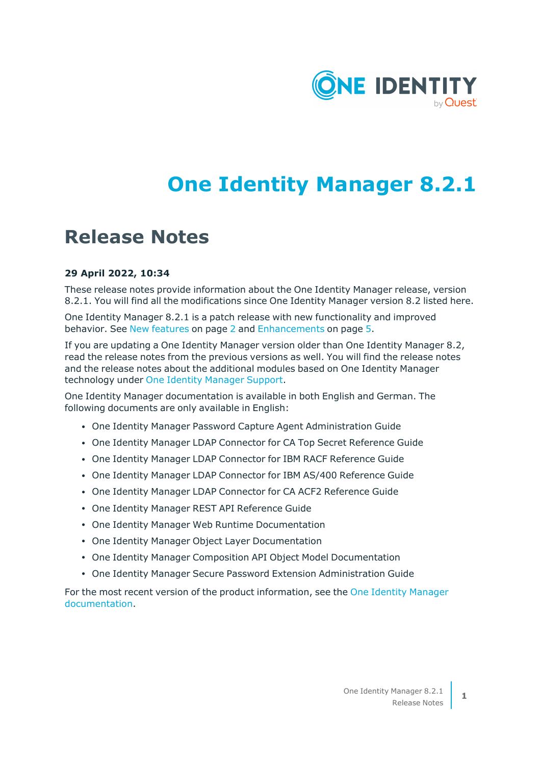

# **One Identity Manager 8.2.1**

## **Release Notes**

### **29 April 2022, 10:34**

These release notes provide information about the One Identity Manager release, version 8.2.1. You will find all the modifications since One Identity Manager version 8.2 listed here.

One Identity Manager 8.2.1 is a patch release with new functionality and improved behavior. See New [features](#page-1-0) on page 2 and [Enhancements](#page-4-0) on page 5.

If you are updating a One Identity Manager version older than One Identity Manager 8.2, read the release notes from the previous versions as well. You will find the release notes and the release notes about the additional modules based on One Identity Manager technology under One Identity [Manager](https://support.oneidentity.com/identity-manager/) Support.

One Identity Manager documentation is available in both English and German. The following documents are only available in English:

- One Identity Manager Password Capture Agent Administration Guide
- One Identity Manager LDAP Connector for CA Top Secret Reference Guide
- One Identity Manager LDAP Connector for IBM RACF Reference Guide
- One Identity Manager LDAP Connector for IBM AS/400 Reference Guide
- One Identity Manager LDAP Connector for CA ACF2 Reference Guide
- One Identity Manager REST API Reference Guide
- One Identity Manager Web Runtime Documentation
- One Identity Manager Object Layer Documentation
- One Identity Manager Composition API Object Model Documentation
- One Identity Manager Secure Password Extension Administration Guide

For the most recent version of the product information, see the One Identity [Manager](https://support.oneidentity.com/identity-manager/technical-documents/) [documentation](https://support.oneidentity.com/identity-manager/technical-documents/).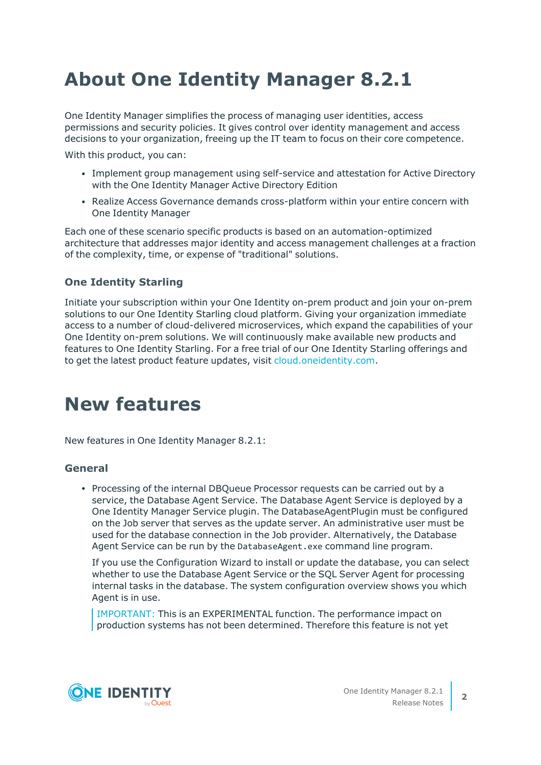# **About One Identity Manager 8.2.1**

One Identity Manager simplifies the process of managing user identities, access permissions and security policies. It gives control over identity management and access decisions to your organization, freeing up the IT team to focus on their core competence.

With this product, you can:

- Implement group management using self-service and attestation for Active Directory with the One Identity Manager Active Directory Edition
- Realize Access Governance demands cross-platform within your entire concern with One Identity Manager

Each one of these scenario specific products is based on an automation-optimized architecture that addresses major identity and access management challenges at a fraction of the complexity, time, or expense of "traditional" solutions.

## **One Identity Starling**

Initiate your subscription within your One Identity on-prem product and join your on-prem solutions to our One Identity Starling cloud platform. Giving your organization immediate access to a number of cloud-delivered microservices, which expand the capabilities of your One Identity on-prem solutions. We will continuously make available new products and features to One Identity Starling. For a free trial of our One Identity Starling offerings and to get the latest product feature updates, visit [cloud.oneidentity.com.](http://cloud.oneidentity.com/)

## <span id="page-1-0"></span>**New features**

New features in One Identity Manager 8.2.1:

## **General**

• Processing of the internal DBQueue Processor requests can be carried out by a service, the Database Agent Service. The Database Agent Service is deployed by a One Identity Manager Service plugin. The DatabaseAgentPlugin must be configured on the Job server that serves as the update server. An administrative user must be used for the database connection in the Job provider. Alternatively, the Database Agent Service can be run by the DatabaseAgent.exe command line program.

If you use the Configuration Wizard to install or update the database, you can select whether to use the Database Agent Service or the SQL Server Agent for processing internal tasks in the database. The system configuration overview shows you which Agent is in use.

IMPORTANT: This is an EXPERIMENTAL function. The performance impact on production systems has not been determined. Therefore this feature is not yet

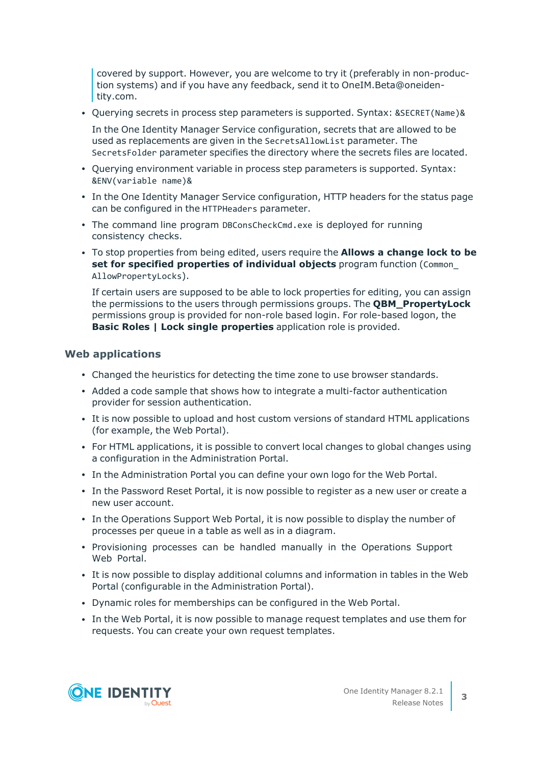covered by support. However, you are welcome to try it (preferably in non-production systems) and if you have any feedback, send it to OneIM.Beta@oneidentity.com.

• Querying secrets in process step parameters is supported. Syntax: &SECRET(Name)&

In the One Identity Manager Service configuration, secrets that are allowed to be used as replacements are given in the SecretsAllowList parameter. The SecretsFolder parameter specifies the directory where the secrets files are located.

- Querying environment variable in process step parameters is supported. Syntax: &ENV(variable name)&
- In the One Identity Manager Service configuration, HTTP headers for the status page can be configured in the HTTPHeaders parameter.
- The command line program DBConsCheckCmd.exe is deployed for running consistency checks.
- <sup>l</sup> To stop properties from being edited, users require the **Allows a change lock to be set for specified properties of individual objects** program function (Common\_ AllowPropertyLocks).

If certain users are supposed to be able to lock properties for editing, you can assign the permissions to the users through permissions groups. The **QBM\_PropertyLock** permissions group is provided for non-role based login. For role-based logon, the **Basic Roles | Lock single properties** application role is provided.

### **Web applications**

- Changed the heuristics for detecting the time zone to use browser standards.
- Added a code sample that shows how to integrate a multi-factor authentication provider for session authentication.
- It is now possible to upload and host custom versions of standard HTML applications (for example, the Web Portal).
- For HTML applications, it is possible to convert local changes to global changes using a configuration in the Administration Portal.
- In the Administration Portal you can define your own logo for the Web Portal.
- In the Password Reset Portal, it is now possible to register as a new user or create a new user account.
- In the Operations Support Web Portal, it is now possible to display the number of processes per queue in a table as well as in a diagram.
- Provisioning processes can be handled manually in the Operations Support Web Portal.
- It is now possible to display additional columns and information in tables in the Web Portal (configurable in the Administration Portal).
- Dynamic roles for memberships can be configured in the Web Portal.
- In the Web Portal, it is now possible to manage request templates and use them for requests. You can create your own request templates.

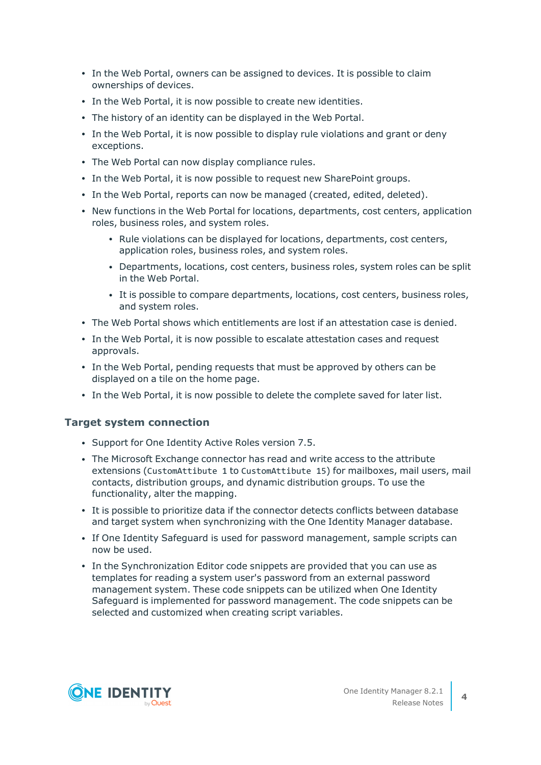- In the Web Portal, owners can be assigned to devices. It is possible to claim ownerships of devices.
- In the Web Portal, it is now possible to create new identities.
- The history of an identity can be displayed in the Web Portal.
- In the Web Portal, it is now possible to display rule violations and grant or deny exceptions.
- The Web Portal can now display compliance rules.
- In the Web Portal, it is now possible to request new SharePoint groups.
- In the Web Portal, reports can now be managed (created, edited, deleted).
- New functions in the Web Portal for locations, departments, cost centers, application roles, business roles, and system roles.
	- Rule violations can be displayed for locations, departments, cost centers, application roles, business roles, and system roles.
	- Departments, locations, cost centers, business roles, system roles can be split in the Web Portal.
	- It is possible to compare departments, locations, cost centers, business roles, and system roles.
- The Web Portal shows which entitlements are lost if an attestation case is denied.
- In the Web Portal, it is now possible to escalate attestation cases and request approvals.
- In the Web Portal, pending requests that must be approved by others can be displayed on a tile on the home page.
- In the Web Portal, it is now possible to delete the complete saved for later list.

## **Target system connection**

- Support for One Identity Active Roles version 7.5.
- The Microsoft Exchange connector has read and write access to the attribute extensions (CustomAttibute 1 to CustomAttibute 15) for mailboxes, mail users, mail contacts, distribution groups, and dynamic distribution groups. To use the functionality, alter the mapping.
- It is possible to prioritize data if the connector detects conflicts between database and target system when synchronizing with the One Identity Manager database.
- If One Identity Safeguard is used for password management, sample scripts can now be used.
- In the Synchronization Editor code snippets are provided that you can use as templates for reading a system user's password from an external password management system. These code snippets can be utilized when One Identity Safeguard is implemented for password management. The code snippets can be selected and customized when creating script variables.

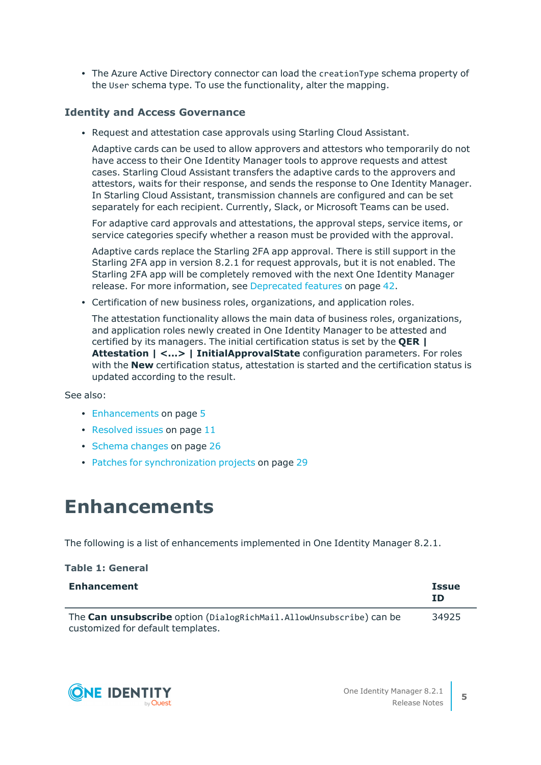• The Azure Active Directory connector can load the creationType schema property of the User schema type. To use the functionality, alter the mapping.

## **Identity and Access Governance**

• Request and attestation case approvals using Starling Cloud Assistant.

Adaptive cards can be used to allow approvers and attestors who temporarily do not have access to their One Identity Manager tools to approve requests and attest cases. Starling Cloud Assistant transfers the adaptive cards to the approvers and attestors, waits for their response, and sends the response to One Identity Manager. In Starling Cloud Assistant, transmission channels are configured and can be set separately for each recipient. Currently, Slack, or Microsoft Teams can be used.

For adaptive card approvals and attestations, the approval steps, service items, or service categories specify whether a reason must be provided with the approval.

Adaptive cards replace the Starling 2FA app approval. There is still support in the Starling 2FA app in version 8.2.1 for request approvals, but it is not enabled. The Starling 2FA app will be completely removed with the next One Identity Manager release. For more [information,](#page-41-0) see Deprecated features on page 42.

• Certification of new business roles, organizations, and application roles.

The attestation functionality allows the main data of business roles, organizations, and application roles newly created in One Identity Manager to be attested and certified by its managers. The initial certification status is set by the **QER | Attestation | <...> | InitialApprovalState** configuration parameters. For roles with the **New** certification status, attestation is started and the certification status is updated according to the result.

See also:

- [Enhancements](#page-4-0) on page 5
- $\cdot$  [Resolved](#page-10-0) issues on page 11
- Schema [changes](#page-25-0) on page 26
- Patches for [synchronization](#page-28-0) projects on page 29

## <span id="page-4-0"></span>**Enhancements**

The following is a list of enhancements implemented in One Identity Manager 8.2.1.

| <b>Enhancement</b>                                                                                       | <b>Issue</b><br><b>ID</b> |
|----------------------------------------------------------------------------------------------------------|---------------------------|
| The Can unsubscribe option (DialogRichMail.AllowUnsubscribe) can be<br>customized for default templates. | 34925                     |



**Table 1: General**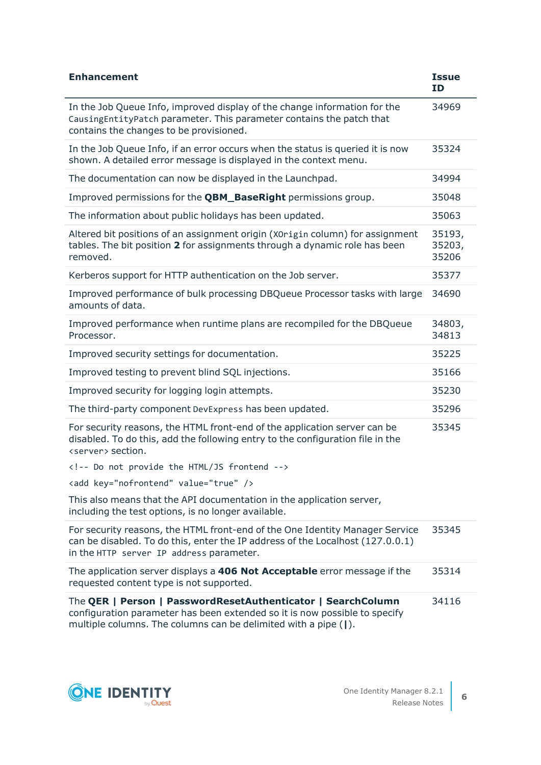| <b>Enhancement</b>                                                                                                                                                                                            | <b>Issue</b><br><b>ID</b> |
|---------------------------------------------------------------------------------------------------------------------------------------------------------------------------------------------------------------|---------------------------|
| In the Job Queue Info, improved display of the change information for the<br>Causing Entity Patch parameter. This parameter contains the patch that<br>contains the changes to be provisioned.                | 34969                     |
| In the Job Queue Info, if an error occurs when the status is queried it is now<br>shown. A detailed error message is displayed in the context menu.                                                           | 35324                     |
| The documentation can now be displayed in the Launchpad.                                                                                                                                                      | 34994                     |
| Improved permissions for the <b>QBM_BaseRight</b> permissions group.                                                                                                                                          | 35048                     |
| The information about public holidays has been updated.                                                                                                                                                       | 35063                     |
| Altered bit positions of an assignment origin (X0rigin column) for assignment<br>tables. The bit position 2 for assignments through a dynamic role has been<br>removed.                                       | 35193,<br>35203,<br>35206 |
| Kerberos support for HTTP authentication on the Job server.                                                                                                                                                   | 35377                     |
| Improved performance of bulk processing DBQueue Processor tasks with large<br>amounts of data.                                                                                                                | 34690                     |
| Improved performance when runtime plans are recompiled for the DBQueue<br>Processor.                                                                                                                          | 34803,<br>34813           |
| Improved security settings for documentation.                                                                                                                                                                 | 35225                     |
| Improved testing to prevent blind SQL injections.                                                                                                                                                             | 35166                     |
| Improved security for logging login attempts.                                                                                                                                                                 | 35230                     |
| The third-party component DevExpress has been updated.                                                                                                                                                        | 35296                     |
| For security reasons, the HTML front-end of the application server can be<br>disabled. To do this, add the following entry to the configuration file in the<br><server> section.</server>                     | 35345                     |
| Do not provide the HTML/JS frontend                                                                                                                                                                           |                           |
| <add key="nofrontend" value="true"></add>                                                                                                                                                                     |                           |
| This also means that the API documentation in the application server,<br>including the test options, is no longer available.                                                                                  |                           |
| For security reasons, the HTML front-end of the One Identity Manager Service<br>can be disabled. To do this, enter the IP address of the Localhost (127.0.0.1)<br>in the HTTP server IP address parameter.    | 35345                     |
| The application server displays a 406 Not Acceptable error message if the<br>requested content type is not supported.                                                                                         | 35314                     |
| The QER   Person   PasswordResetAuthenticator   SearchColumn<br>configuration parameter has been extended so it is now possible to specify<br>multiple columns. The columns can be delimited with a pipe ( ). | 34116                     |



**6**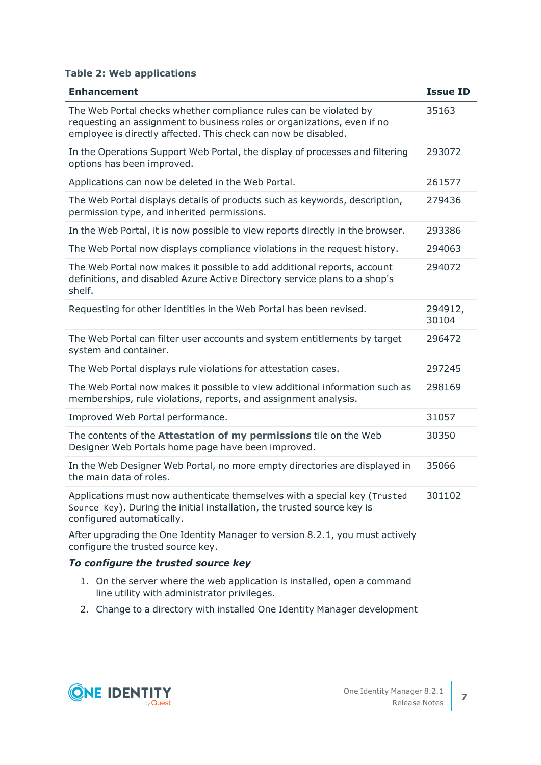### **Table 2: Web applications**

| <b>Enhancement</b>                                                                                                                                                                                             | <b>Issue ID</b>  |
|----------------------------------------------------------------------------------------------------------------------------------------------------------------------------------------------------------------|------------------|
| The Web Portal checks whether compliance rules can be violated by<br>requesting an assignment to business roles or organizations, even if no<br>employee is directly affected. This check can now be disabled. | 35163            |
| In the Operations Support Web Portal, the display of processes and filtering<br>options has been improved.                                                                                                     | 293072           |
| Applications can now be deleted in the Web Portal.                                                                                                                                                             | 261577           |
| The Web Portal displays details of products such as keywords, description,<br>permission type, and inherited permissions.                                                                                      | 279436           |
| In the Web Portal, it is now possible to view reports directly in the browser.                                                                                                                                 | 293386           |
| The Web Portal now displays compliance violations in the request history.                                                                                                                                      | 294063           |
| The Web Portal now makes it possible to add additional reports, account<br>definitions, and disabled Azure Active Directory service plans to a shop's<br>shelf.                                                | 294072           |
| Requesting for other identities in the Web Portal has been revised.                                                                                                                                            | 294912,<br>30104 |
| The Web Portal can filter user accounts and system entitlements by target<br>system and container.                                                                                                             | 296472           |
| The Web Portal displays rule violations for attestation cases.                                                                                                                                                 | 297245           |
| The Web Portal now makes it possible to view additional information such as<br>memberships, rule violations, reports, and assignment analysis.                                                                 | 298169           |
| Improved Web Portal performance.                                                                                                                                                                               | 31057            |
| The contents of the <b>Attestation of my permissions</b> tile on the Web<br>Designer Web Portals home page have been improved.                                                                                 | 30350            |
| In the Web Designer Web Portal, no more empty directories are displayed in<br>the main data of roles.                                                                                                          | 35066            |
| Applications must now authenticate themselves with a special key (Trusted<br>Source Key). During the initial installation, the trusted source key is<br>configured automatically.                              | 301102           |
| After upgrading the One Identity Manager to version 8.2.1, you must actively<br>configure the trusted source key.                                                                                              |                  |

### *To configure the trusted source key*

- 1. On the server where the web application is installed, open a command line utility with administrator privileges.
- 2. Change to a directory with installed One Identity Manager development

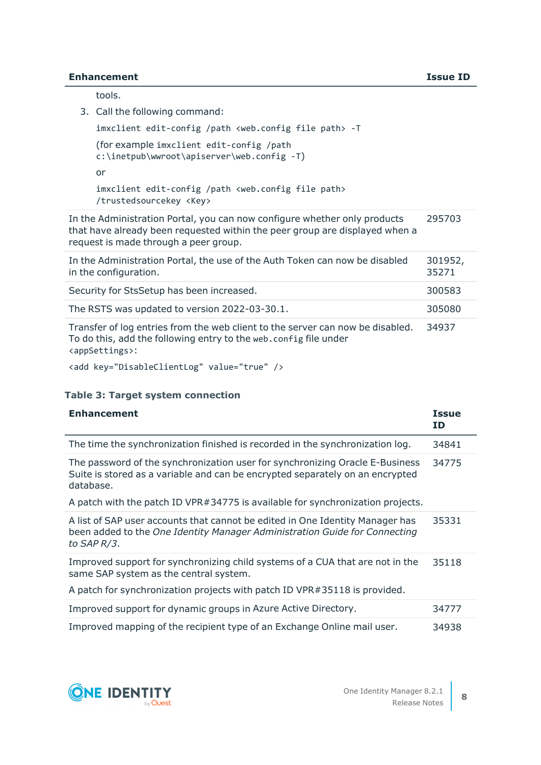#### **Enhancement Issue ID**

tools.

3. Call the following command:

```
imxclient edit-config /path <web.config file path> -T
(for example imxclient edit-config /path
c:\inetpub\wwroot\apiserver\web.config -T)
or
```

```
imxclient edit-config /path <web.config file path>
/trustedsourcekey <Key>
```
In the Administration Portal, you can now configure whether only products that have already been requested within the peer group are displayed when a request is made through a peer group. 295703

| In the Administration Portal, the use of the Auth Token can now be disabled<br>in the configuration.                                                                               | 301952,<br>35271 |
|------------------------------------------------------------------------------------------------------------------------------------------------------------------------------------|------------------|
| Security for StsSetup has been increased.                                                                                                                                          | 300583           |
| The RSTS was updated to version 2022-03-30.1.                                                                                                                                      | 305080           |
| Transfer of log entries from the web client to the server can now be disabled.<br>To do this, add the following entry to the web.config file under<br><appsettings>:</appsettings> | 34937            |

<add key="DisableClientLog" value="true" />

### **Table 3: Target system connection**

| <b>Enhancement</b>                                                                                                                                                                                   | <b>Issue</b><br>ID |
|------------------------------------------------------------------------------------------------------------------------------------------------------------------------------------------------------|--------------------|
| The time the synchronization finished is recorded in the synchronization log.                                                                                                                        | 34841              |
| The password of the synchronization user for synchronizing Oracle E-Business<br>Suite is stored as a variable and can be encrypted separately on an encrypted<br>database.                           | 34775              |
| A patch with the patch ID VPR#34775 is available for synchronization projects.                                                                                                                       |                    |
| A list of SAP user accounts that cannot be edited in One Identity Manager has<br>been added to the One Identity Manager Administration Guide for Connecting<br>to SAP R/3.                           | 35331              |
| Improved support for synchronizing child systems of a CUA that are not in the<br>same SAP system as the central system.<br>A patch for synchronization projects with patch ID VPR#35118 is provided. | 35118              |
|                                                                                                                                                                                                      |                    |
| Improved support for dynamic groups in Azure Active Directory.                                                                                                                                       | 34777              |
| Improved mapping of the recipient type of an Exchange Online mail user.                                                                                                                              | 34938              |



**8**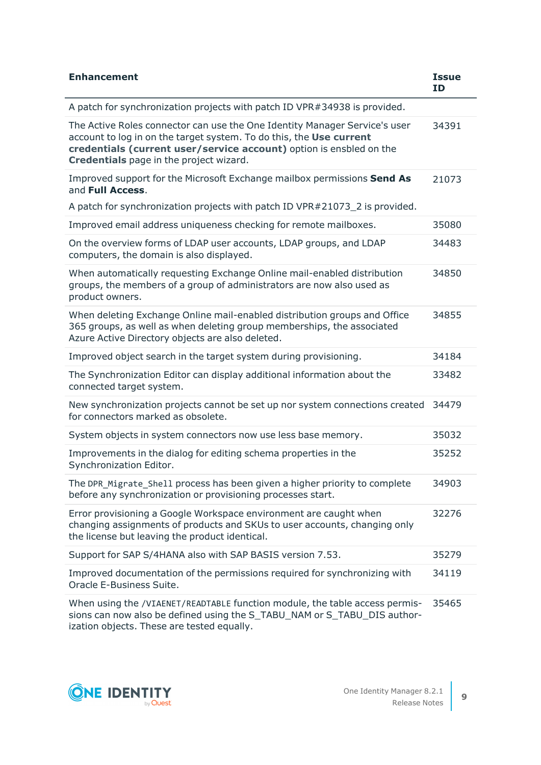| <b>Enhancement</b>                                                                                                                                                                                                                                                  | <b>Issue</b><br><b>ID</b> |
|---------------------------------------------------------------------------------------------------------------------------------------------------------------------------------------------------------------------------------------------------------------------|---------------------------|
| A patch for synchronization projects with patch ID VPR#34938 is provided.                                                                                                                                                                                           |                           |
| The Active Roles connector can use the One Identity Manager Service's user<br>account to log in on the target system. To do this, the Use current<br>credentials (current user/service account) option is ensbled on the<br>Credentials page in the project wizard. | 34391                     |
| Improved support for the Microsoft Exchange mailbox permissions Send As<br>and Full Access.                                                                                                                                                                         | 21073                     |
| A patch for synchronization projects with patch ID VPR#21073_2 is provided.                                                                                                                                                                                         |                           |
| Improved email address uniqueness checking for remote mailboxes.                                                                                                                                                                                                    | 35080                     |
| On the overview forms of LDAP user accounts, LDAP groups, and LDAP<br>computers, the domain is also displayed.                                                                                                                                                      | 34483                     |
| When automatically requesting Exchange Online mail-enabled distribution<br>groups, the members of a group of administrators are now also used as<br>product owners.                                                                                                 | 34850                     |
| When deleting Exchange Online mail-enabled distribution groups and Office<br>365 groups, as well as when deleting group memberships, the associated<br>Azure Active Directory objects are also deleted.                                                             | 34855                     |
| Improved object search in the target system during provisioning.                                                                                                                                                                                                    | 34184                     |
| The Synchronization Editor can display additional information about the<br>connected target system.                                                                                                                                                                 | 33482                     |
| New synchronization projects cannot be set up nor system connections created<br>for connectors marked as obsolete.                                                                                                                                                  | 34479                     |
| System objects in system connectors now use less base memory.                                                                                                                                                                                                       | 35032                     |
| Improvements in the dialog for editing schema properties in the<br>Synchronization Editor.                                                                                                                                                                          | 35252                     |
| The DPR_Migrate_Shell process has been given a higher priority to complete<br>before any synchronization or provisioning processes start.                                                                                                                           | 34903                     |
| Error provisioning a Google Workspace environment are caught when<br>changing assignments of products and SKUs to user accounts, changing only<br>the license but leaving the product identical.                                                                    | 32276                     |
| Support for SAP S/4HANA also with SAP BASIS version 7.53.                                                                                                                                                                                                           | 35279                     |
| Improved documentation of the permissions required for synchronizing with<br>Oracle E-Business Suite.                                                                                                                                                               | 34119                     |
| When using the /VIAENET/READTABLE function module, the table access permis-<br>sions can now also be defined using the S_TABU_NAM or S_TABU_DIS author-<br>ization objects. These are tested equally.                                                               | 35465                     |

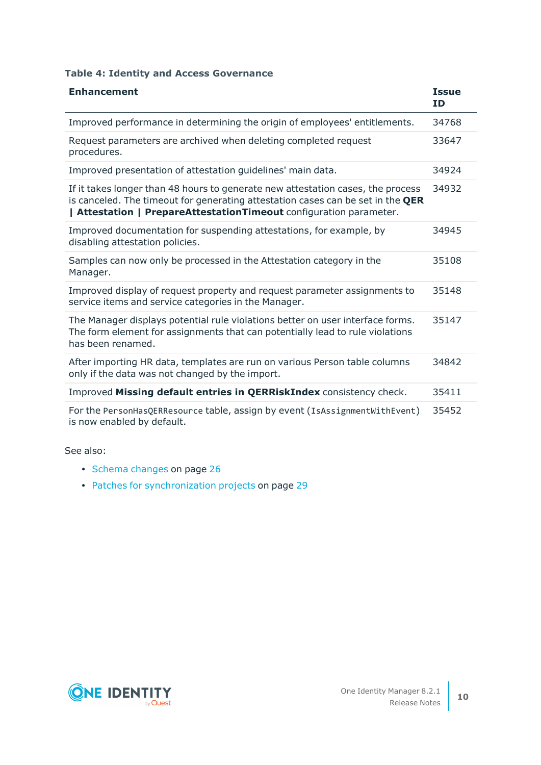## **Table 4: Identity and Access Governance**

| <b>Enhancement</b>                                                                                                                                                                                                                       | <b>Issue</b><br><b>ID</b> |
|------------------------------------------------------------------------------------------------------------------------------------------------------------------------------------------------------------------------------------------|---------------------------|
| Improved performance in determining the origin of employees' entitlements.                                                                                                                                                               | 34768                     |
| Request parameters are archived when deleting completed request<br>procedures.                                                                                                                                                           | 33647                     |
| Improved presentation of attestation quidelines' main data.                                                                                                                                                                              | 34924                     |
| If it takes longer than 48 hours to generate new attestation cases, the process<br>is canceled. The timeout for generating attestation cases can be set in the QER<br>  Attestation   PrepareAttestationTimeout configuration parameter. | 34932                     |
| Improved documentation for suspending attestations, for example, by<br>disabling attestation policies.                                                                                                                                   | 34945                     |
| Samples can now only be processed in the Attestation category in the<br>Manager.                                                                                                                                                         | 35108                     |
| Improved display of request property and request parameter assignments to<br>service items and service categories in the Manager.                                                                                                        | 35148                     |
| The Manager displays potential rule violations better on user interface forms.<br>The form element for assignments that can potentially lead to rule violations<br>has been renamed.                                                     | 35147                     |
| After importing HR data, templates are run on various Person table columns<br>only if the data was not changed by the import.                                                                                                            | 34842                     |
| Improved Missing default entries in QERRiskIndex consistency check.                                                                                                                                                                      | 35411                     |
| For the PersonHasQERResource table, assign by event (IsAssignmentWithEvent)<br>is now enabled by default.                                                                                                                                | 35452                     |

See also:

- Schema [changes](#page-25-0) on page 26
- Patches for [synchronization](#page-28-0) projects on page 29

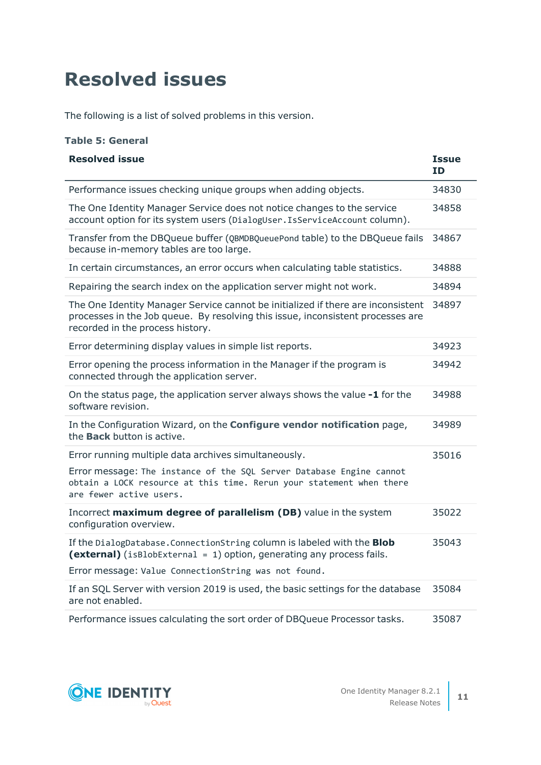# <span id="page-10-0"></span>**Resolved issues**

The following is a list of solved problems in this version.

### **Table 5: General**

| <b>Resolved issue</b>                                                                                                                                                                                   | <b>Issue</b><br><b>ID</b> |
|---------------------------------------------------------------------------------------------------------------------------------------------------------------------------------------------------------|---------------------------|
| Performance issues checking unique groups when adding objects.                                                                                                                                          | 34830                     |
| The One Identity Manager Service does not notice changes to the service<br>account option for its system users (DialogUser. IsServiceAccount column).                                                   | 34858                     |
| Transfer from the DBQueue buffer (QBMDBQueuePond table) to the DBQueue fails<br>because in-memory tables are too large.                                                                                 | 34867                     |
| In certain circumstances, an error occurs when calculating table statistics.                                                                                                                            | 34888                     |
| Repairing the search index on the application server might not work.                                                                                                                                    | 34894                     |
| The One Identity Manager Service cannot be initialized if there are inconsistent<br>processes in the Job queue. By resolving this issue, inconsistent processes are<br>recorded in the process history. | 34897                     |
| Error determining display values in simple list reports.                                                                                                                                                | 34923                     |
| Error opening the process information in the Manager if the program is<br>connected through the application server.                                                                                     | 34942                     |
| On the status page, the application server always shows the value -1 for the<br>software revision.                                                                                                      | 34988                     |
| In the Configuration Wizard, on the Configure vendor notification page,<br>the <b>Back</b> button is active.                                                                                            | 34989                     |
| Error running multiple data archives simultaneously.                                                                                                                                                    | 35016                     |
| Error message: The instance of the SQL Server Database Engine cannot<br>obtain a LOCK resource at this time. Rerun your statement when there<br>are fewer active users.                                 |                           |
| Incorrect maximum degree of parallelism (DB) value in the system<br>configuration overview.                                                                                                             | 35022                     |
| If the DialogDatabase. ConnectionString column is labeled with the Blob<br>(external) (isBlobExternal = 1) option, generating any process fails.                                                        | 35043                     |
| Error message: Value ConnectionString was not found.                                                                                                                                                    |                           |
| If an SQL Server with version 2019 is used, the basic settings for the database<br>are not enabled.                                                                                                     | 35084                     |
| Performance issues calculating the sort order of DBQueue Processor tasks.                                                                                                                               | 35087                     |



**11**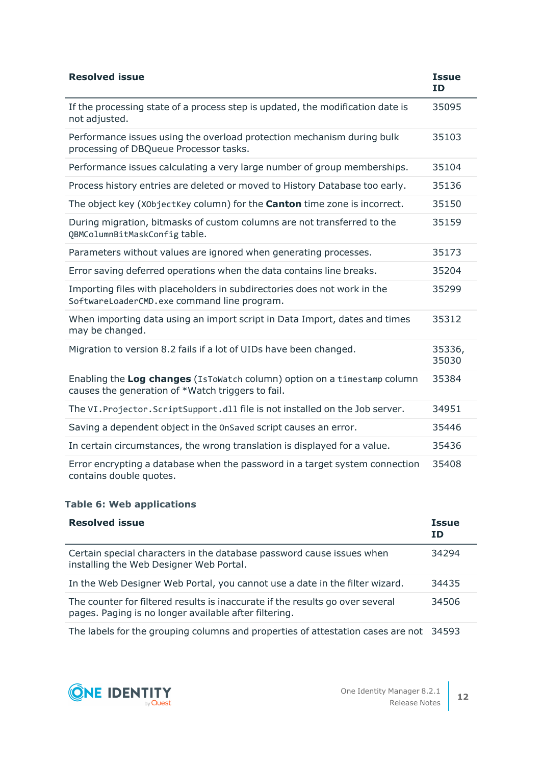| <b>Resolved issue</b>                                                                                                         | <b>Issue</b><br><b>ID</b> |
|-------------------------------------------------------------------------------------------------------------------------------|---------------------------|
| If the processing state of a process step is updated, the modification date is<br>not adjusted.                               | 35095                     |
| Performance issues using the overload protection mechanism during bulk<br>processing of DBQueue Processor tasks.              | 35103                     |
| Performance issues calculating a very large number of group memberships.                                                      | 35104                     |
| Process history entries are deleted or moved to History Database too early.                                                   | 35136                     |
| The object key (X0bjectKey column) for the <b>Canton</b> time zone is incorrect.                                              | 35150                     |
| During migration, bitmasks of custom columns are not transferred to the<br>QBMColumnBitMaskConfigtable.                       | 35159                     |
| Parameters without values are ignored when generating processes.                                                              | 35173                     |
| Error saving deferred operations when the data contains line breaks.                                                          | 35204                     |
| Importing files with placeholders in subdirectories does not work in the<br>SoftwareLoaderCMD.exe command line program.       | 35299                     |
| When importing data using an import script in Data Import, dates and times<br>may be changed.                                 | 35312                     |
| Migration to version 8.2 fails if a lot of UIDs have been changed.                                                            | 35336,<br>35030           |
| Enabling the Log changes (IsToWatch column) option on a timestamp column<br>causes the generation of *Watch triggers to fail. | 35384                     |
| The VI. Projector. Script Support. dll file is not installed on the Job server.                                               | 34951                     |
| Saving a dependent object in the OnSaved script causes an error.                                                              | 35446                     |
| In certain circumstances, the wrong translation is displayed for a value.                                                     | 35436                     |
| Error encrypting a database when the password in a target system connection<br>contains double quotes.                        | 35408                     |

## **Table 6: Web applications**

| <b>Resolved issue</b>                                                                                                                  | <b>Issue</b><br>ΙD |
|----------------------------------------------------------------------------------------------------------------------------------------|--------------------|
| Certain special characters in the database password cause issues when<br>installing the Web Designer Web Portal.                       | 34294              |
| In the Web Designer Web Portal, you cannot use a date in the filter wizard.                                                            | 34435              |
| The counter for filtered results is inaccurate if the results go over several<br>pages. Paging is no longer available after filtering. | 34506              |

The labels for the grouping columns and properties of attestation cases are not 34593

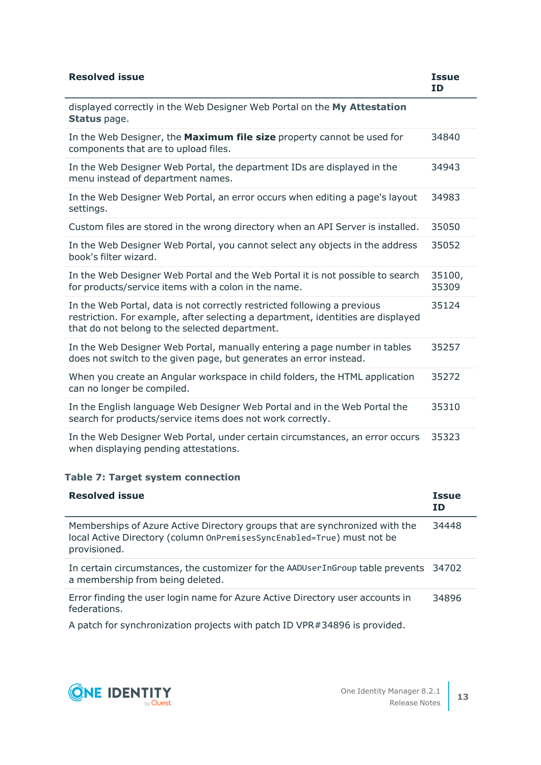| <b>Resolved issue</b>                                                                                                                                                                                          | <b>Issue</b><br><b>ID</b> |
|----------------------------------------------------------------------------------------------------------------------------------------------------------------------------------------------------------------|---------------------------|
| displayed correctly in the Web Designer Web Portal on the My Attestation<br><b>Status</b> page.                                                                                                                |                           |
| In the Web Designer, the Maximum file size property cannot be used for<br>components that are to upload files.                                                                                                 | 34840                     |
| In the Web Designer Web Portal, the department IDs are displayed in the<br>menu instead of department names.                                                                                                   | 34943                     |
| In the Web Designer Web Portal, an error occurs when editing a page's layout<br>settings.                                                                                                                      | 34983                     |
| Custom files are stored in the wrong directory when an API Server is installed.                                                                                                                                | 35050                     |
| In the Web Designer Web Portal, you cannot select any objects in the address<br>book's filter wizard.                                                                                                          | 35052                     |
| In the Web Designer Web Portal and the Web Portal it is not possible to search<br>for products/service items with a colon in the name.                                                                         | 35100,<br>35309           |
| In the Web Portal, data is not correctly restricted following a previous<br>restriction. For example, after selecting a department, identities are displayed<br>that do not belong to the selected department. | 35124                     |
| In the Web Designer Web Portal, manually entering a page number in tables<br>does not switch to the given page, but generates an error instead.                                                                | 35257                     |
| When you create an Angular workspace in child folders, the HTML application<br>can no longer be compiled.                                                                                                      | 35272                     |
| In the English language Web Designer Web Portal and in the Web Portal the<br>search for products/service items does not work correctly.                                                                        | 35310                     |
| In the Web Designer Web Portal, under certain circumstances, an error occurs<br>when displaying pending attestations.                                                                                          | 35323                     |

## **Table 7: Target system connection**

| <b>Resolved issue</b>                                                                                                                                                 | <b>Issue</b><br>ID |
|-----------------------------------------------------------------------------------------------------------------------------------------------------------------------|--------------------|
| Memberships of Azure Active Directory groups that are synchronized with the<br>local Active Directory (column OnPremisesSyncEnabled=True) must not be<br>provisioned. | 34448              |
| In certain circumstances, the customizer for the AADUserInGroup table prevents 34702<br>a membership from being deleted.                                              |                    |
| Error finding the user login name for Azure Active Directory user accounts in<br>federations.                                                                         | 34896              |

A patch for synchronization projects with patch ID VPR#34896 is provided.

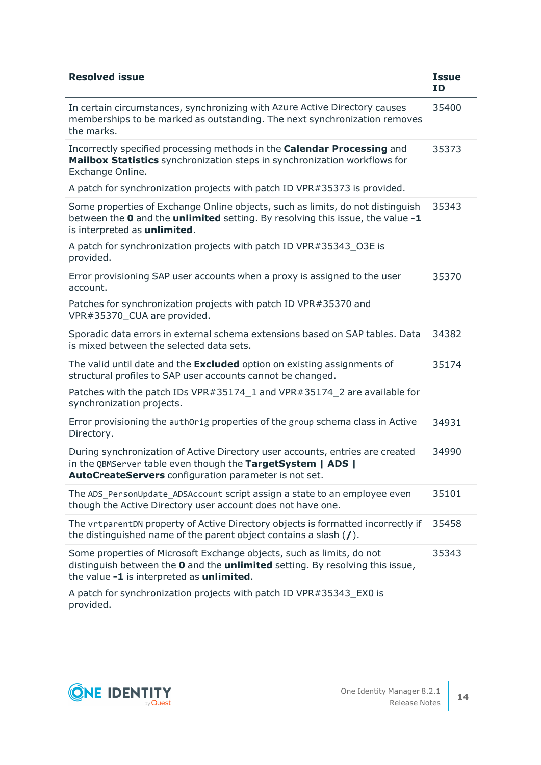| <b>Resolved issue</b>                                                                                                                                                                                 | <b>Issue</b><br>ID |
|-------------------------------------------------------------------------------------------------------------------------------------------------------------------------------------------------------|--------------------|
| In certain circumstances, synchronizing with Azure Active Directory causes<br>memberships to be marked as outstanding. The next synchronization removes<br>the marks.                                 | 35400              |
| Incorrectly specified processing methods in the Calendar Processing and<br>Mailbox Statistics synchronization steps in synchronization workflows for<br>Exchange Online.                              | 35373              |
| A patch for synchronization projects with patch ID VPR#35373 is provided.                                                                                                                             |                    |
| Some properties of Exchange Online objects, such as limits, do not distinguish<br>between the 0 and the unlimited setting. By resolving this issue, the value -1<br>is interpreted as unlimited.      | 35343              |
| A patch for synchronization projects with patch ID VPR#35343_O3E is<br>provided.                                                                                                                      |                    |
| Error provisioning SAP user accounts when a proxy is assigned to the user<br>account.                                                                                                                 | 35370              |
| Patches for synchronization projects with patch ID VPR#35370 and<br>VPR#35370_CUA are provided.                                                                                                       |                    |
| Sporadic data errors in external schema extensions based on SAP tables. Data<br>is mixed between the selected data sets.                                                                              | 34382              |
| The valid until date and the <b>Excluded</b> option on existing assignments of<br>structural profiles to SAP user accounts cannot be changed.                                                         | 35174              |
| Patches with the patch IDs VPR#35174_1 and VPR#35174_2 are available for<br>synchronization projects.                                                                                                 |                    |
| Error provisioning the auth0rig properties of the group schema class in Active<br>Directory.                                                                                                          | 34931              |
| During synchronization of Active Directory user accounts, entries are created<br>in the QBMServer table even though the TargetSystem   ADS  <br>AutoCreateServers configuration parameter is not set. | 34990              |
| The ADS PersonUpdate ADSAccount script assign a state to an employee even<br>though the Active Directory user account does not have one.                                                              | 35101              |
| The vrtparentDN property of Active Directory objects is formatted incorrectly if<br>the distinguished name of the parent object contains a slash $($ / $).$                                           | 35458              |
| Some properties of Microsoft Exchange objects, such as limits, do not<br>distinguish between the 0 and the unlimited setting. By resolving this issue,<br>the value -1 is interpreted as unlimited.   | 35343              |
| A patch for synchronization projects with patch ID VPR#35343_EX0 is                                                                                                                                   |                    |



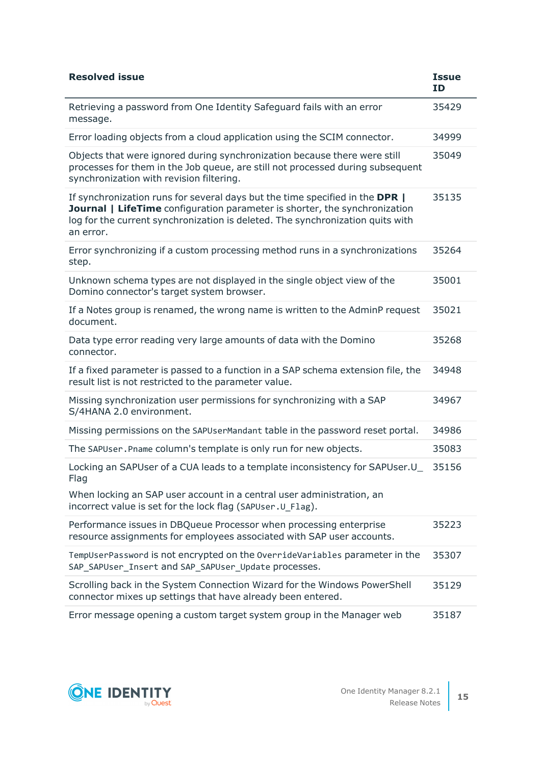| <b>Resolved issue</b>                                                                                                                                                                                                                                            | <b>Issue</b><br><b>ID</b> |
|------------------------------------------------------------------------------------------------------------------------------------------------------------------------------------------------------------------------------------------------------------------|---------------------------|
| Retrieving a password from One Identity Safeguard fails with an error<br>message.                                                                                                                                                                                | 35429                     |
| Error loading objects from a cloud application using the SCIM connector.                                                                                                                                                                                         | 34999                     |
| Objects that were ignored during synchronization because there were still<br>processes for them in the Job queue, are still not processed during subsequent<br>synchronization with revision filtering.                                                          | 35049                     |
| If synchronization runs for several days but the time specified in the DPR  <br><b>Journal   LifeTime</b> configuration parameter is shorter, the synchronization<br>log for the current synchronization is deleted. The synchronization quits with<br>an error. | 35135                     |
| Error synchronizing if a custom processing method runs in a synchronizations<br>step.                                                                                                                                                                            | 35264                     |
| Unknown schema types are not displayed in the single object view of the<br>Domino connector's target system browser.                                                                                                                                             | 35001                     |
| If a Notes group is renamed, the wrong name is written to the AdminP request<br>document.                                                                                                                                                                        | 35021                     |
| Data type error reading very large amounts of data with the Domino<br>connector.                                                                                                                                                                                 | 35268                     |
| If a fixed parameter is passed to a function in a SAP schema extension file, the<br>result list is not restricted to the parameter value.                                                                                                                        | 34948                     |
| Missing synchronization user permissions for synchronizing with a SAP<br>S/4HANA 2.0 environment.                                                                                                                                                                | 34967                     |
| Missing permissions on the SAPUserMandant table in the password reset portal.                                                                                                                                                                                    | 34986                     |
| The SAPUser. Pname column's template is only run for new objects.                                                                                                                                                                                                | 35083                     |
| Locking an SAPUser of a CUA leads to a template inconsistency for SAPUser.U_<br>Flag                                                                                                                                                                             | 35156                     |
| When locking an SAP user account in a central user administration, an<br>incorrect value is set for the lock flag (SAPUser.U_Flag).                                                                                                                              |                           |
| Performance issues in DBQueue Processor when processing enterprise<br>resource assignments for employees associated with SAP user accounts.                                                                                                                      | 35223                     |
| TempUserPassword is not encrypted on the OverrideVariables parameter in the<br>SAP_SAPUser_Insert and SAP_SAPUser_Update processes.                                                                                                                              | 35307                     |
| Scrolling back in the System Connection Wizard for the Windows PowerShell<br>connector mixes up settings that have already been entered.                                                                                                                         | 35129                     |
| Error message opening a custom target system group in the Manager web                                                                                                                                                                                            | 35187                     |

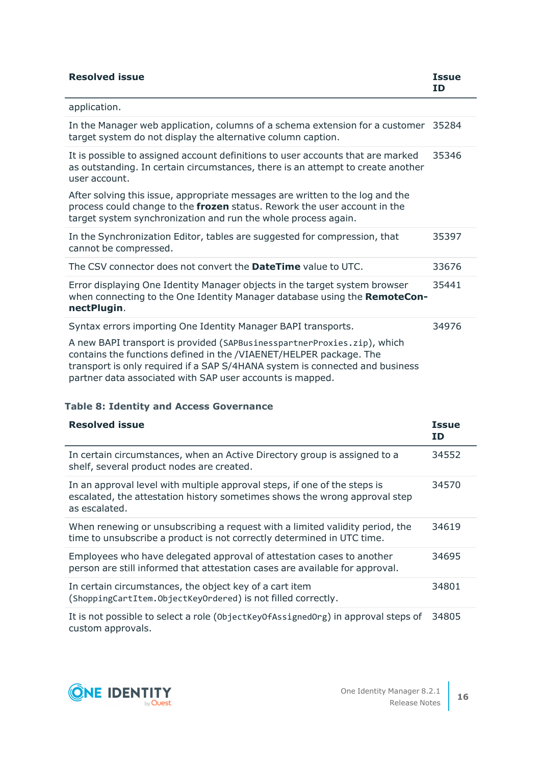| <b>Resolved issue</b>                                                                                                                                                                                                                                                                      | <b>Issue</b><br>ID |
|--------------------------------------------------------------------------------------------------------------------------------------------------------------------------------------------------------------------------------------------------------------------------------------------|--------------------|
| application.                                                                                                                                                                                                                                                                               |                    |
| In the Manager web application, columns of a schema extension for a customer 35284<br>target system do not display the alternative column caption.                                                                                                                                         |                    |
| It is possible to assigned account definitions to user accounts that are marked<br>as outstanding. In certain circumstances, there is an attempt to create another<br>user account.                                                                                                        | 35346              |
| After solving this issue, appropriate messages are written to the log and the<br>process could change to the frozen status. Rework the user account in the<br>target system synchronization and run the whole process again.                                                               |                    |
| In the Synchronization Editor, tables are suggested for compression, that<br>cannot be compressed.                                                                                                                                                                                         | 35397              |
| The CSV connector does not convert the <b>DateTime</b> value to UTC.                                                                                                                                                                                                                       | 33676              |
| Error displaying One Identity Manager objects in the target system browser<br>when connecting to the One Identity Manager database using the RemoteCon-<br>nectPlugin.                                                                                                                     | 35441              |
| Syntax errors importing One Identity Manager BAPI transports.                                                                                                                                                                                                                              | 34976              |
| A new BAPI transport is provided (SAPBusinesspartnerProxies.zip), which<br>contains the functions defined in the /VIAENET/HELPER package. The<br>transport is only required if a SAP S/4HANA system is connected and business<br>partner data associated with SAP user accounts is mapped. |                    |

## **Table 8: Identity and Access Governance**

| <b>Resolved issue</b>                                                                                                                                                    | <b>Issue</b><br>ID |
|--------------------------------------------------------------------------------------------------------------------------------------------------------------------------|--------------------|
| In certain circumstances, when an Active Directory group is assigned to a<br>shelf, several product nodes are created.                                                   | 34552              |
| In an approval level with multiple approval steps, if one of the steps is<br>escalated, the attestation history sometimes shows the wrong approval step<br>as escalated. | 34570              |
| When renewing or unsubscribing a request with a limited validity period, the<br>time to unsubscribe a product is not correctly determined in UTC time.                   | 34619              |
| Employees who have delegated approval of attestation cases to another<br>person are still informed that attestation cases are available for approval.                    | 34695              |
| In certain circumstances, the object key of a cart item<br>(ShoppingCartItem.ObjectKeyOrdered) is not filled correctly.                                                  | 34801              |
| It is not possible to select a role (0bjectKey0fAssignedOrg) in approval steps of                                                                                        | 34805              |

custom approvals.

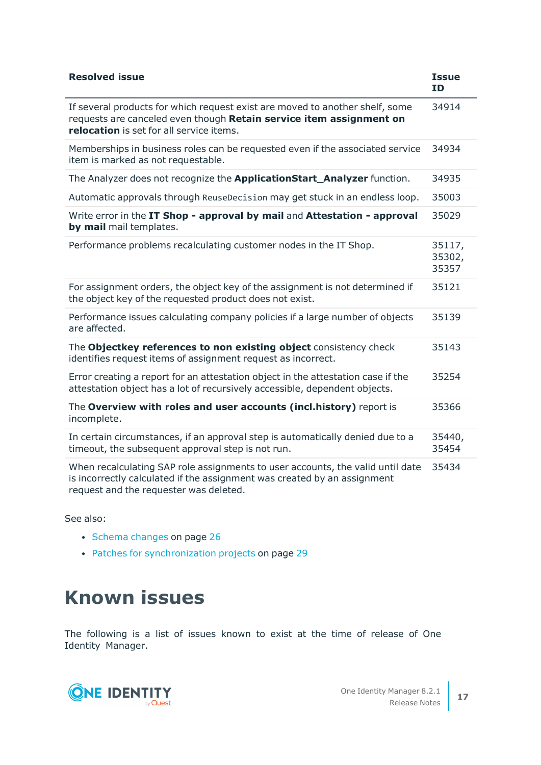| <b>Resolved issue</b>                                                                                                                                                                                | <b>Issue</b><br>ID        |
|------------------------------------------------------------------------------------------------------------------------------------------------------------------------------------------------------|---------------------------|
| If several products for which request exist are moved to another shelf, some<br>requests are canceled even though Retain service item assignment on<br>relocation is set for all service items.      | 34914                     |
| Memberships in business roles can be requested even if the associated service<br>item is marked as not requestable.                                                                                  | 34934                     |
| The Analyzer does not recognize the <b>ApplicationStart_Analyzer</b> function.                                                                                                                       | 34935                     |
| Automatic approvals through ReuseDecision may get stuck in an endless loop.                                                                                                                          | 35003                     |
| Write error in the IT Shop - approval by mail and Attestation - approval<br>by mail mail templates.                                                                                                  | 35029                     |
| Performance problems recalculating customer nodes in the IT Shop.                                                                                                                                    | 35117,<br>35302,<br>35357 |
| For assignment orders, the object key of the assignment is not determined if<br>the object key of the requested product does not exist.                                                              | 35121                     |
| Performance issues calculating company policies if a large number of objects<br>are affected.                                                                                                        | 35139                     |
| The Objectkey references to non existing object consistency check<br>identifies request items of assignment request as incorrect.                                                                    | 35143                     |
| Error creating a report for an attestation object in the attestation case if the<br>attestation object has a lot of recursively accessible, dependent objects.                                       | 35254                     |
| The Overview with roles and user accounts (incl.history) report is<br>incomplete.                                                                                                                    | 35366                     |
| In certain circumstances, if an approval step is automatically denied due to a<br>timeout, the subsequent approval step is not run.                                                                  | 35440,<br>35454           |
| When recalculating SAP role assignments to user accounts, the valid until date<br>is incorrectly calculated if the assignment was created by an assignment<br>request and the requester was deleted. | 35434                     |

See also:

- Schema [changes](#page-25-0) on page 26
- Patches for [synchronization](#page-28-0) projects on page 29

# **Known issues**

The following is a list of issues known to exist at the time of release of One Identity Manager.

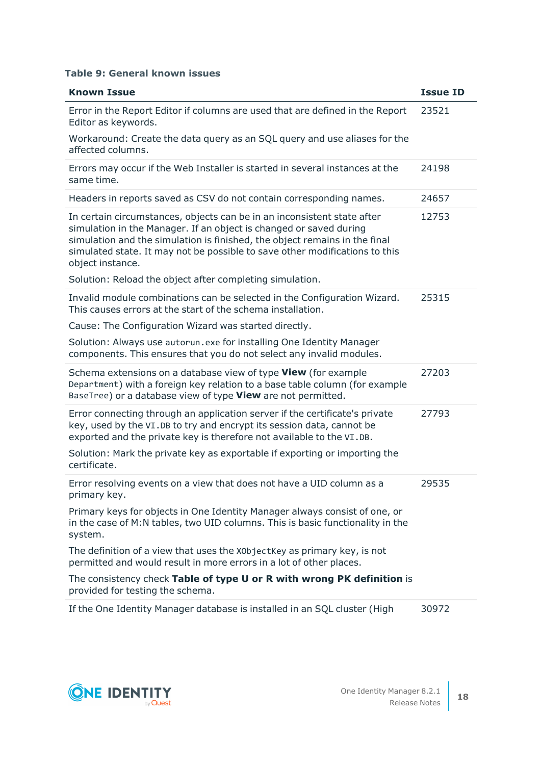#### **Table 9: General known issues**

| <b>Known Issue</b>                                                                                                                                                                                                                                                                                                             | <b>Issue ID</b> |
|--------------------------------------------------------------------------------------------------------------------------------------------------------------------------------------------------------------------------------------------------------------------------------------------------------------------------------|-----------------|
| Error in the Report Editor if columns are used that are defined in the Report<br>Editor as keywords.                                                                                                                                                                                                                           | 23521           |
| Workaround: Create the data query as an SQL query and use aliases for the<br>affected columns.                                                                                                                                                                                                                                 |                 |
| Errors may occur if the Web Installer is started in several instances at the<br>same time.                                                                                                                                                                                                                                     | 24198           |
| Headers in reports saved as CSV do not contain corresponding names.                                                                                                                                                                                                                                                            | 24657           |
| In certain circumstances, objects can be in an inconsistent state after<br>simulation in the Manager. If an object is changed or saved during<br>simulation and the simulation is finished, the object remains in the final<br>simulated state. It may not be possible to save other modifications to this<br>object instance. | 12753           |
| Solution: Reload the object after completing simulation.                                                                                                                                                                                                                                                                       |                 |
| Invalid module combinations can be selected in the Configuration Wizard.<br>This causes errors at the start of the schema installation.                                                                                                                                                                                        | 25315           |
| Cause: The Configuration Wizard was started directly.                                                                                                                                                                                                                                                                          |                 |
| Solution: Always use autorun. exe for installing One Identity Manager<br>components. This ensures that you do not select any invalid modules.                                                                                                                                                                                  |                 |
| Schema extensions on a database view of type View (for example<br>Department) with a foreign key relation to a base table column (for example<br>BaseTree) or a database view of type View are not permitted.                                                                                                                  | 27203           |
| Error connecting through an application server if the certificate's private<br>key, used by the VI.DB to try and encrypt its session data, cannot be<br>exported and the private key is therefore not available to the VI.DB.                                                                                                  | 27793           |
| Solution: Mark the private key as exportable if exporting or importing the<br>certificate.                                                                                                                                                                                                                                     |                 |
| Error resolving events on a view that does not have a UID column as a<br>primary key.                                                                                                                                                                                                                                          | 29535           |
| Primary keys for objects in One Identity Manager always consist of one, or<br>in the case of M:N tables, two UID columns. This is basic functionality in the<br>system.                                                                                                                                                        |                 |
| The definition of a view that uses the X0bjectKey as primary key, is not<br>permitted and would result in more errors in a lot of other places.                                                                                                                                                                                |                 |
| The consistency check Table of type U or R with wrong PK definition is<br>provided for testing the schema.                                                                                                                                                                                                                     |                 |
|                                                                                                                                                                                                                                                                                                                                |                 |

If the One Identity Manager database is installed in an SQL cluster (High 30972

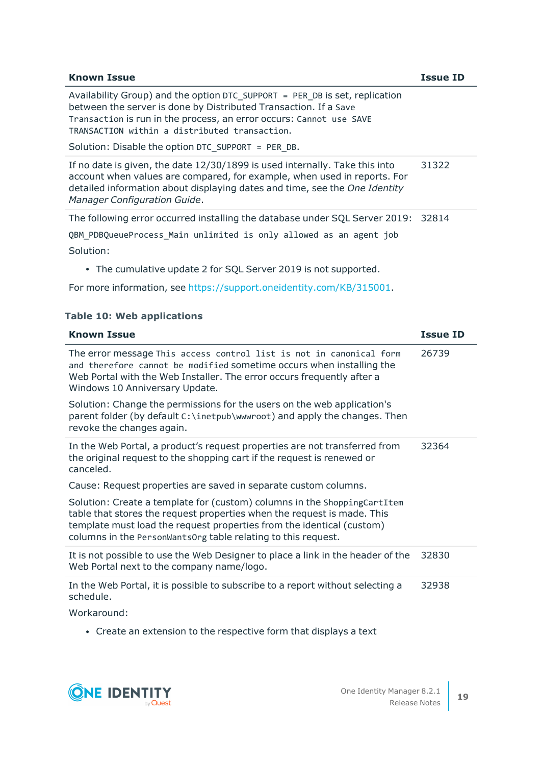| <b>Known Issue</b>                                                                                                                                                                                                                                                                                                            | Issue ID |
|-------------------------------------------------------------------------------------------------------------------------------------------------------------------------------------------------------------------------------------------------------------------------------------------------------------------------------|----------|
| Availability Group) and the option DTC SUPPORT = PER DB is set, replication<br>between the server is done by Distributed Transaction. If a Save<br>Transaction is run in the process, an error occurs: Cannot use SAVE<br>TRANSACTION within a distributed transaction.<br>Solution: Disable the option DTC SUPPORT = PER DB. |          |
| If no date is given, the date 12/30/1899 is used internally. Take this into<br>account when values are compared, for example, when used in reports. For<br>detailed information about displaying dates and time, see the One Identity<br>Manager Configuration Guide.                                                         | 31322    |
| The following error occurred installing the database under SQL Server 2019: 32814<br>QBM PDBQueueProcess Main unlimited is only allowed as an agent job<br>Solution:                                                                                                                                                          |          |
| • The cumulative update 2 for SQL Server 2019 is not supported.                                                                                                                                                                                                                                                               |          |

For more information, see [https://support.oneidentity.com/KB/315001](https://support.oneidentity.com/kb/315001).

## **Table 10: Web applications**

| <b>Known Issue</b>                                                                                                                                                                                                                                                                            | <b>Issue ID</b> |
|-----------------------------------------------------------------------------------------------------------------------------------------------------------------------------------------------------------------------------------------------------------------------------------------------|-----------------|
| The error message This access control list is not in canonical form<br>and therefore cannot be modified sometime occurs when installing the<br>Web Portal with the Web Installer. The error occurs frequently after a<br>Windows 10 Anniversary Update.                                       | 26739           |
| Solution: Change the permissions for the users on the web application's<br>parent folder (by default C:\inetpub\wwwroot) and apply the changes. Then<br>revoke the changes again.                                                                                                             |                 |
| In the Web Portal, a product's request properties are not transferred from<br>the original request to the shopping cart if the request is renewed or<br>canceled.                                                                                                                             | 32364           |
| Cause: Request properties are saved in separate custom columns.                                                                                                                                                                                                                               |                 |
| Solution: Create a template for (custom) columns in the ShoppingCartItem<br>table that stores the request properties when the request is made. This<br>template must load the request properties from the identical (custom)<br>columns in the PersonWantsOrg table relating to this request. |                 |
| It is not possible to use the Web Designer to place a link in the header of the<br>Web Portal next to the company name/logo.                                                                                                                                                                  | 32830           |
| In the Web Portal, it is possible to subscribe to a report without selecting a<br>schedule.                                                                                                                                                                                                   | 32938           |
| Workaround:                                                                                                                                                                                                                                                                                   |                 |

Workaround:

• Create an extension to the respective form that displays a text

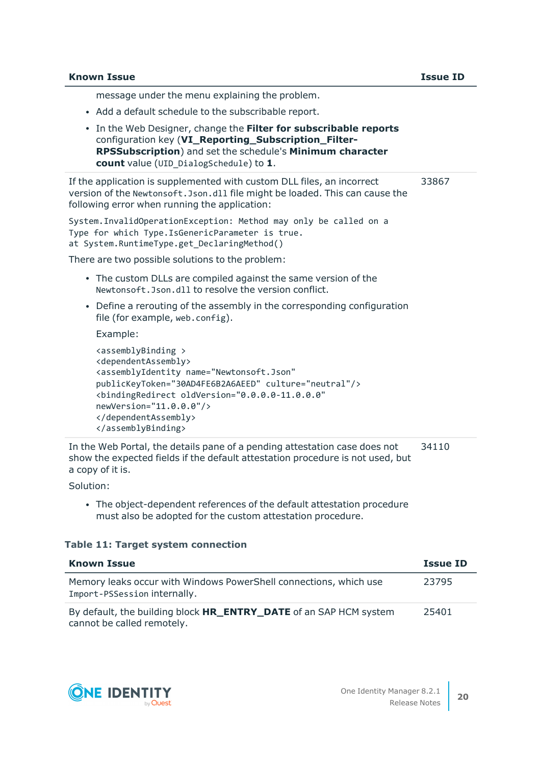message under the menu explaining the problem.

- Add a default schedule to the subscribable report.
- <sup>l</sup> In the Web Designer, change the **Filter for subscribable reports** configuration key (**VI\_Reporting\_Subscription\_Filter-RPSSubscription**) and set the schedule's **Minimum character count** value (UID\_DialogSchedule) to **1**.

If the application is supplemented with custom DLL files, an incorrect version of the Newtonsoft.Json.dll file might be loaded. This can cause the following error when running the application: 33867

System.InvalidOperationException: Method may only be called on a Type for which Type.IsGenericParameter is true. at System.RuntimeType.get DeclaringMethod()

There are two possible solutions to the problem:

- The custom DLLs are compiled against the same version of the Newtonsoft.Json.dll to resolve the version conflict.
- Define a rerouting of the assembly in the corresponding configuration file (for example, web.config).

Example:

```
<assemblyBinding >
<dependentAssembly>
<assemblyIdentity name="Newtonsoft.Json"
publicKeyToken="30AD4FE6B2A6AEED" culture="neutral"/>
<bindingRedirect oldVersion="0.0.0.0-11.0.0.0"
newVersion="11.0.0.0"/>
</dependentAssembly>
</assemblyBinding>
```
In the Web Portal, the details pane of a pending attestation case does not show the expected fields if the default attestation procedure is not used, but a copy of it is. 34110

Solution:

• The object-dependent references of the default attestation procedure must also be adopted for the custom attestation procedure.

#### **Table 11: Target system connection**

| <b>Known Issue</b>                                                                                     | <b>Issue ID</b> |
|--------------------------------------------------------------------------------------------------------|-----------------|
| Memory leaks occur with Windows PowerShell connections, which use<br>Import-PSSession internally.      | 23795           |
| By default, the building block <b>HR_ENTRY_DATE</b> of an SAP HCM system<br>cannot be called remotely. | 25401           |

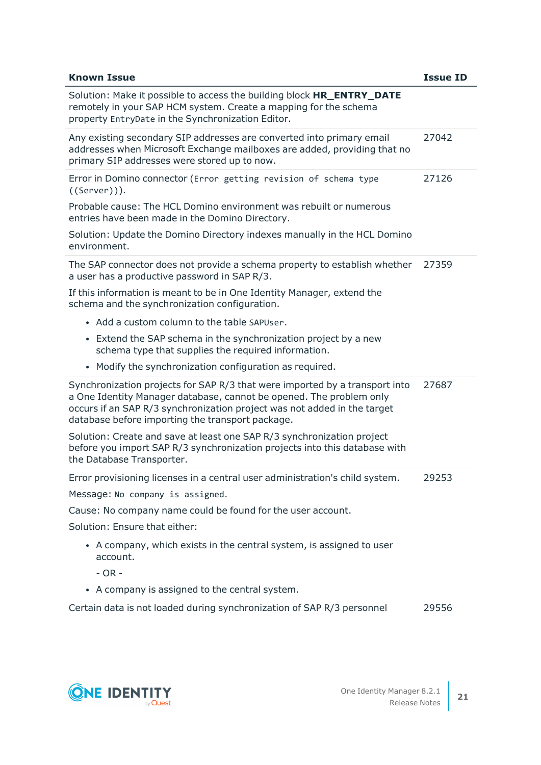| <b>Known Issue</b>                                                                                                                                                                                                                                                                 | <b>Issue ID</b> |
|------------------------------------------------------------------------------------------------------------------------------------------------------------------------------------------------------------------------------------------------------------------------------------|-----------------|
| Solution: Make it possible to access the building block <b>HR_ENTRY_DATE</b><br>remotely in your SAP HCM system. Create a mapping for the schema<br>property EntryDate in the Synchronization Editor.                                                                              |                 |
| Any existing secondary SIP addresses are converted into primary email<br>addresses when Microsoft Exchange mailboxes are added, providing that no<br>primary SIP addresses were stored up to now.                                                                                  | 27042           |
| Error in Domino connector (Error getting revision of schema type<br>$((Server))$ .                                                                                                                                                                                                 | 27126           |
| Probable cause: The HCL Domino environment was rebuilt or numerous<br>entries have been made in the Domino Directory.                                                                                                                                                              |                 |
| Solution: Update the Domino Directory indexes manually in the HCL Domino<br>environment.                                                                                                                                                                                           |                 |
| The SAP connector does not provide a schema property to establish whether<br>a user has a productive password in SAP R/3.                                                                                                                                                          | 27359           |
| If this information is meant to be in One Identity Manager, extend the<br>schema and the synchronization configuration.                                                                                                                                                            |                 |
| • Add a custom column to the table SAPUser.                                                                                                                                                                                                                                        |                 |
| Extend the SAP schema in the synchronization project by a new<br>$\bullet$<br>schema type that supplies the required information.                                                                                                                                                  |                 |
| • Modify the synchronization configuration as required.                                                                                                                                                                                                                            |                 |
| Synchronization projects for SAP R/3 that were imported by a transport into<br>a One Identity Manager database, cannot be opened. The problem only<br>occurs if an SAP R/3 synchronization project was not added in the target<br>database before importing the transport package. | 27687           |
| Solution: Create and save at least one SAP R/3 synchronization project<br>before you import SAP R/3 synchronization projects into this database with<br>the Database Transporter.                                                                                                  |                 |
| Error provisioning licenses in a central user administration's child system.                                                                                                                                                                                                       | 29253           |
| Message: No company is assigned.                                                                                                                                                                                                                                                   |                 |
| Cause: No company name could be found for the user account.                                                                                                                                                                                                                        |                 |
| Solution: Ensure that either:                                                                                                                                                                                                                                                      |                 |
| • A company, which exists in the central system, is assigned to user<br>account.                                                                                                                                                                                                   |                 |
| $- OR -$                                                                                                                                                                                                                                                                           |                 |
| • A company is assigned to the central system.                                                                                                                                                                                                                                     |                 |
| Certain data is not loaded during synchronization of SAP R/3 personnel                                                                                                                                                                                                             | 29556           |

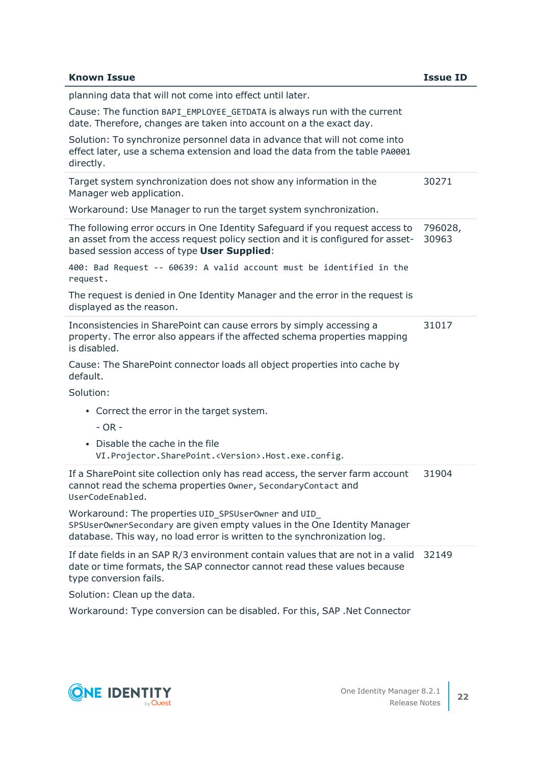| <b>Known Issue</b>                                                                                                                                                                                              | <b>Issue ID</b>  |
|-----------------------------------------------------------------------------------------------------------------------------------------------------------------------------------------------------------------|------------------|
| planning data that will not come into effect until later.                                                                                                                                                       |                  |
| Cause: The function BAPI_EMPLOYEE_GETDATA is always run with the current<br>date. Therefore, changes are taken into account on a the exact day.                                                                 |                  |
| Solution: To synchronize personnel data in advance that will not come into<br>effect later, use a schema extension and load the data from the table PA0001<br>directly.                                         |                  |
| Target system synchronization does not show any information in the<br>Manager web application.                                                                                                                  | 30271            |
| Workaround: Use Manager to run the target system synchronization.                                                                                                                                               |                  |
| The following error occurs in One Identity Safeguard if you request access to<br>an asset from the access request policy section and it is configured for asset-<br>based session access of type User Supplied: | 796028,<br>30963 |
| 400: Bad Request -- 60639: A valid account must be identified in the<br>request.                                                                                                                                |                  |
| The request is denied in One Identity Manager and the error in the request is<br>displayed as the reason.                                                                                                       |                  |
| Inconsistencies in SharePoint can cause errors by simply accessing a<br>property. The error also appears if the affected schema properties mapping<br>is disabled.                                              | 31017            |
| Cause: The SharePoint connector loads all object properties into cache by<br>default.                                                                                                                           |                  |
| Solution:                                                                                                                                                                                                       |                  |
| • Correct the error in the target system.<br>$- OR -$                                                                                                                                                           |                  |
| Disable the cache in the file<br>VI. Projector. SharePoint. < Version>. Host. exe. config.                                                                                                                      |                  |
| If a SharePoint site collection only has read access, the server farm account<br>cannot read the schema properties Owner, SecondaryContact and<br>UserCodeEnabled.                                              | 31904            |
| Workaround: The properties UID_SPSUser0wner and UID_<br>SPSUser0wnerSecondary are given empty values in the One Identity Manager<br>database. This way, no load error is written to the synchronization log.    |                  |
| If date fields in an SAP R/3 environment contain values that are not in a valid<br>date or time formats, the SAP connector cannot read these values because<br>type conversion fails.                           | 32149            |
| Solution: Clean up the data.                                                                                                                                                                                    |                  |
| Workaround: Type conversion can be disabled. For this, SAP .Net Connector                                                                                                                                       |                  |

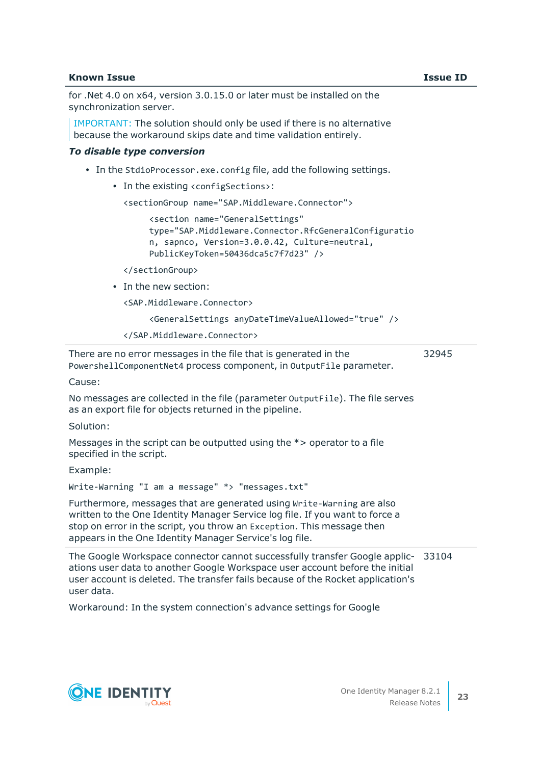#### **Known Issue Issue ID**

for .Net 4.0 on x64, version 3.0.15.0 or later must be installed on the synchronization server.

IMPORTANT: The solution should only be used if there is no alternative because the workaround skips date and time validation entirely.

#### *To disable type conversion*

- In the StdioProcessor.exe.config file, add the following settings.
	- In the existing <configSections>:

```
<sectionGroup name="SAP.Middleware.Connector">
```
<section name="GeneralSettings" type="SAP.Middleware.Connector.RfcGeneralConfiguratio n, sapnco, Version=3.0.0.42, Culture=neutral, PublicKeyToken=50436dca5c7f7d23" />

</sectionGroup>

• In the new section:

<SAP.Middleware.Connector>

<GeneralSettings anyDateTimeValueAllowed="true" />

```
</SAP.Middleware.Connector>
```
There are no error messages in the file that is generated in the PowershellComponentNet4 process component, in OutputFile parameter. 32945

Cause:

No messages are collected in the file (parameter OutputFile). The file serves as an export file for objects returned in the pipeline.

Solution:

Messages in the script can be outputted using the \*> operator to a file specified in the script.

Example:

Write-Warning "I am a message" \*> "messages.txt"

Furthermore, messages that are generated using Write-Warning are also written to the One Identity Manager Service log file. If you want to force a stop on error in the script, you throw an Exception. This message then appears in the One Identity Manager Service's log file.

The Google Workspace connector cannot successfully transfer Google applic-33104 ations user data to another Google Workspace user account before the initial user account is deleted. The transfer fails because of the Rocket application's user data.

Workaround: In the system connection's advance settings for Google

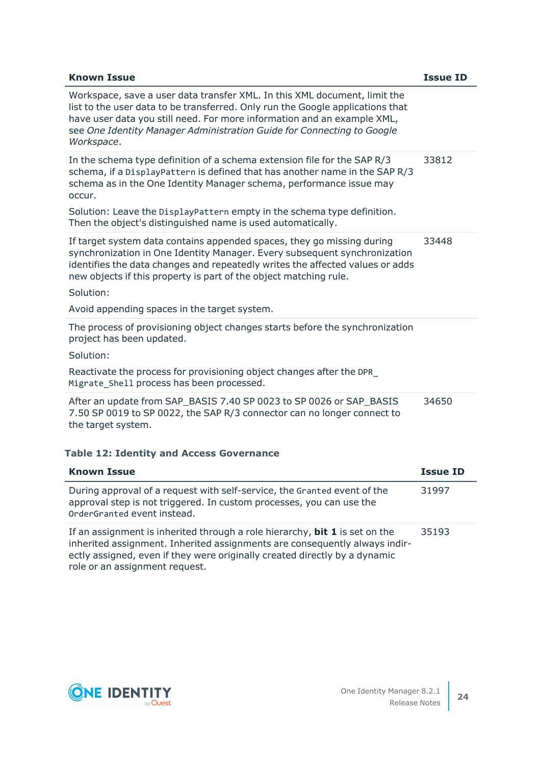| <b>Known Issue</b>                                                                                                                                                                                                                                                                                                             | <b>Issue ID</b> |
|--------------------------------------------------------------------------------------------------------------------------------------------------------------------------------------------------------------------------------------------------------------------------------------------------------------------------------|-----------------|
| Workspace, save a user data transfer XML. In this XML document, limit the<br>list to the user data to be transferred. Only run the Google applications that<br>have user data you still need. For more information and an example XML,<br>see One Identity Manager Administration Guide for Connecting to Google<br>Workspace. |                 |
| In the schema type definition of a schema extension file for the SAP R/3<br>schema, if a DisplayPattern is defined that has another name in the SAP R/3<br>schema as in the One Identity Manager schema, performance issue may<br>occur.                                                                                       | 33812           |
| Solution: Leave the DisplayPattern empty in the schema type definition.<br>Then the object's distinguished name is used automatically.                                                                                                                                                                                         |                 |
| If target system data contains appended spaces, they go missing during<br>synchronization in One Identity Manager. Every subsequent synchronization<br>identifies the data changes and repeatedly writes the affected values or adds<br>new objects if this property is part of the object matching rule.<br>Solution:         | 33448           |
| Avoid appending spaces in the target system.                                                                                                                                                                                                                                                                                   |                 |
|                                                                                                                                                                                                                                                                                                                                |                 |
| The process of provisioning object changes starts before the synchronization<br>project has been updated.                                                                                                                                                                                                                      |                 |
| Solution:                                                                                                                                                                                                                                                                                                                      |                 |
| Reactivate the process for provisioning object changes after the DPR<br>Migrate Shell process has been processed.                                                                                                                                                                                                              |                 |
| After an update from SAP_BASIS 7.40 SP 0023 to SP 0026 or SAP_BASIS<br>7.50 SP 0019 to SP 0022, the SAP R/3 connector can no longer connect to<br>the target system.                                                                                                                                                           | 34650           |
| <b>Table 12: Identity and Access Governance</b>                                                                                                                                                                                                                                                                                |                 |
| <b>Known Issue</b>                                                                                                                                                                                                                                                                                                             | <b>Issue ID</b> |
| During approval of a request with self-service, the Granted event of the<br>approval step is not triggered. In custom processes, you can use the<br>OrderGranted event instead.                                                                                                                                                | 31997           |
| If an assignment is inherited through a role hierarchy, <b>bit 1</b> is set on the<br>inherited assignment. Inherited assignments are consequently always indir-<br>ectly assigned, even if they were originally created directly by a dynamic                                                                                 | 35193           |

role or an assignment request.

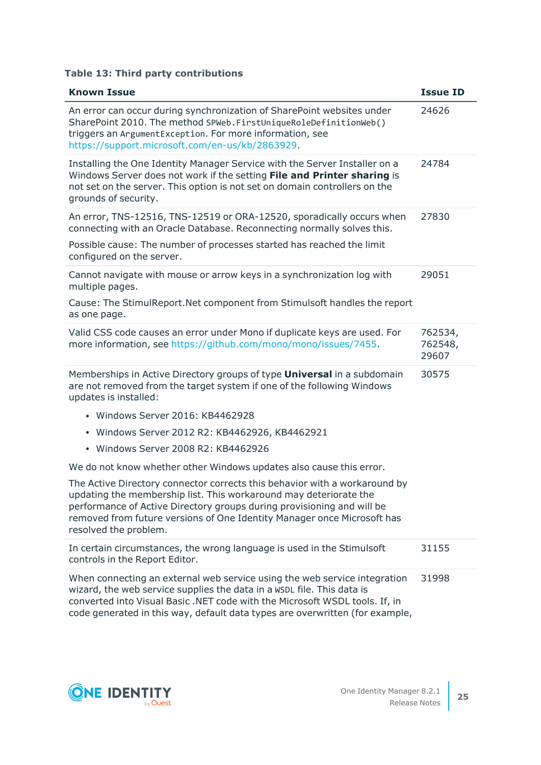## **Table 13: Third party contributions**

| <b>Known Issue</b>                                                                                                                                                                                                                                                                                                            | <b>Issue ID</b>             |
|-------------------------------------------------------------------------------------------------------------------------------------------------------------------------------------------------------------------------------------------------------------------------------------------------------------------------------|-----------------------------|
| An error can occur during synchronization of SharePoint websites under<br>SharePoint 2010. The method SPWeb. FirstUniqueRoleDefinitionWeb()<br>triggers an ArgumentException. For more information, see<br>https://support.microsoft.com/en-us/kb/2863929.                                                                    | 24626                       |
| Installing the One Identity Manager Service with the Server Installer on a<br>Windows Server does not work if the setting File and Printer sharing is<br>not set on the server. This option is not set on domain controllers on the<br>grounds of security.                                                                   | 24784                       |
| An error, TNS-12516, TNS-12519 or ORA-12520, sporadically occurs when<br>connecting with an Oracle Database. Reconnecting normally solves this.                                                                                                                                                                               | 27830                       |
| Possible cause: The number of processes started has reached the limit<br>configured on the server.                                                                                                                                                                                                                            |                             |
| Cannot navigate with mouse or arrow keys in a synchronization log with<br>multiple pages.                                                                                                                                                                                                                                     | 29051                       |
| Cause: The StimulReport. Net component from Stimulsoft handles the report<br>as one page.                                                                                                                                                                                                                                     |                             |
| Valid CSS code causes an error under Mono if duplicate keys are used. For<br>more information, see https://github.com/mono/mono/issues/7455.                                                                                                                                                                                  | 762534,<br>762548,<br>29607 |
| Memberships in Active Directory groups of type <b>Universal</b> in a subdomain<br>are not removed from the target system if one of the following Windows<br>updates is installed:                                                                                                                                             | 30575                       |
| • Windows Server 2016: KB4462928                                                                                                                                                                                                                                                                                              |                             |
| · Windows Server 2012 R2: KB4462926, KB4462921                                                                                                                                                                                                                                                                                |                             |
| Windows Server 2008 R2: KB4462926                                                                                                                                                                                                                                                                                             |                             |
| We do not know whether other Windows updates also cause this error.                                                                                                                                                                                                                                                           |                             |
| The Active Directory connector corrects this behavior with a workaround by<br>updating the membership list. This workaround may deteriorate the<br>performance of Active Directory groups during provisioning and will be<br>removed from future versions of One Identity Manager once Microsoft has<br>resolved the problem. |                             |
| In certain circumstances, the wrong language is used in the Stimulsoft<br>controls in the Report Editor.                                                                                                                                                                                                                      | 31155                       |
| When connecting an external web service using the web service integration<br>wizard, the web service supplies the data in a WSDL file. This data is<br>converted into Visual Basic .NET code with the Microsoft WSDL tools. If, in<br>code generated in this way, default data types are overwritten (for example,            | 31998                       |

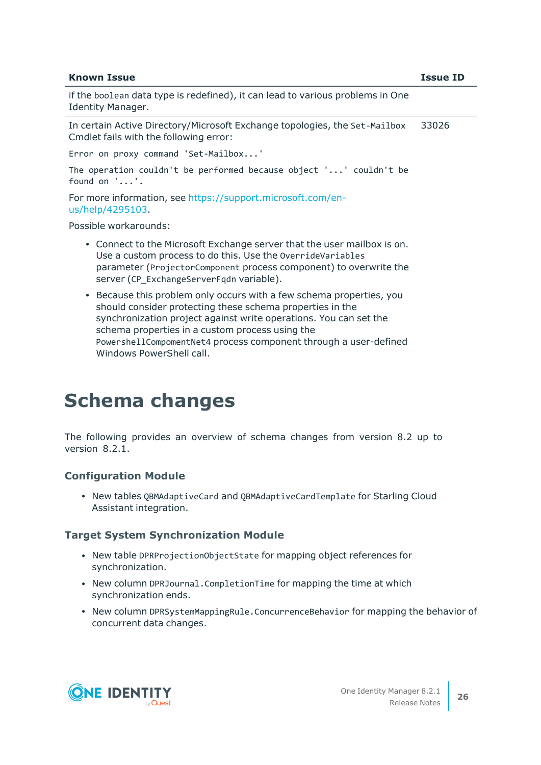#### **Known Issue Issue ID**

if the boolean data type is redefined), it can lead to various problems in One Identity Manager.

In certain Active Directory/Microsoft Exchange topologies, the Set-Mailbox Cmdlet fails with the following error: 33026

Error on proxy command 'Set-Mailbox...'

The operation couldn't be performed because object '...' couldn't be found on '...'.

For more information, see [https://support.microsoft.com/en](https://support.microsoft.com/en-us/help/4295103/powershell-cmdlet-parameter-combinations-don-t-work-with-exchange-serv)[us/help/4295103](https://support.microsoft.com/en-us/help/4295103/powershell-cmdlet-parameter-combinations-don-t-work-with-exchange-serv).

Possible workarounds:

- Connect to the Microsoft Exchange server that the user mailbox is on. Use a custom process to do this. Use the OverrideVariables parameter (ProjectorComponent process component) to overwrite the server (CP\_ExchangeServerFqdn variable).
- Because this problem only occurs with a few schema properties, you should consider protecting these schema properties in the synchronization project against write operations. You can set the schema properties in a custom process using the PowershellCompomentNet4 process component through a user-defined Windows PowerShell call.

## <span id="page-25-0"></span>**Schema changes**

The following provides an overview of schema changes from version 8.2 up to version 8.2.1.

#### **Configuration Module**

• New tables QBMAdaptiveCard and QBMAdaptiveCardTemplate for Starling Cloud Assistant integration.

#### **Target System Synchronization Module**

- New table DPRProjectionObjectState for mapping object references for synchronization.
- New column DPRJournal.CompletionTime for mapping the time at which synchronization ends.
- New column DPRSystemMappingRule.ConcurrenceBehavior for mapping the behavior of concurrent data changes.



**26**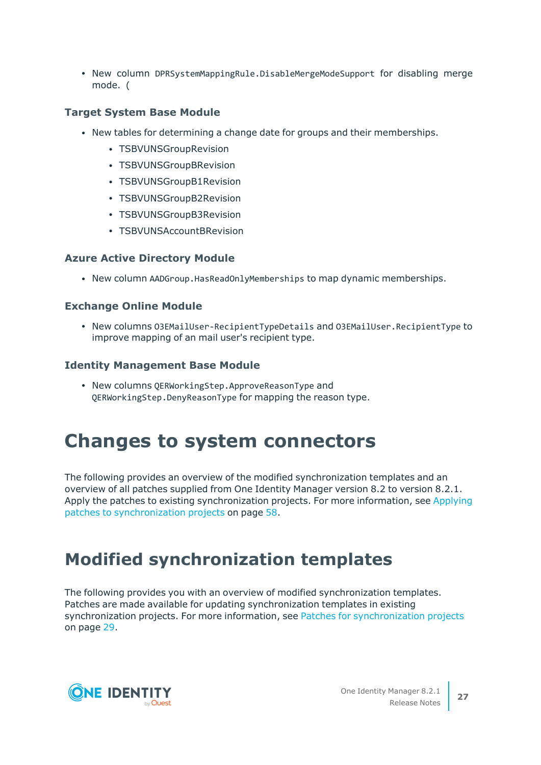• New column DPRSystemMappingRule.DisableMergeModeSupport for disabling merge mode. (

## **Target System Base Module**

- New tables for determining a change date for groups and their memberships.
	- TSBVUNSGroupRevision
	- TSBVUNSGroupBRevision
	- TSBVUNSGroupB1Revision
	- TSBVUNSGroupB2Revision
	- TSBVUNSGroupB3Revision
	- TSBVUNSAccountBRevision

## **Azure Active Directory Module**

• New column AADGroup. HasReadOnlyMemberships to map dynamic memberships.

## **Exchange Online Module**

<sup>l</sup> New columns O3EMailUser-RecipientTypeDetails and O3EMailUser.RecipientType to improve mapping of an mail user's recipient type.

## **Identity Management Base Module**

• New columns QERWorkingStep.ApproveReasonType and QERWorkingStep.DenyReasonType for mapping the reason type.

## **Changes to system connectors**

The following provides an overview of the modified synchronization templates and an overview of all patches supplied from One Identity Manager version 8.2 to version 8.2.1. Apply the patches to existing synchronization projects. For more [information,](#page-57-0) see Applying patches to [synchronization](#page-57-0) projects on page 58.

## <span id="page-26-0"></span>**Modified synchronization templates**

The following provides you with an overview of modified synchronization templates. Patches are made available for updating synchronization templates in existing [synchronization](#page-28-0) projects. For more information, see Patches for synchronization projects on [page](#page-28-0) 29.

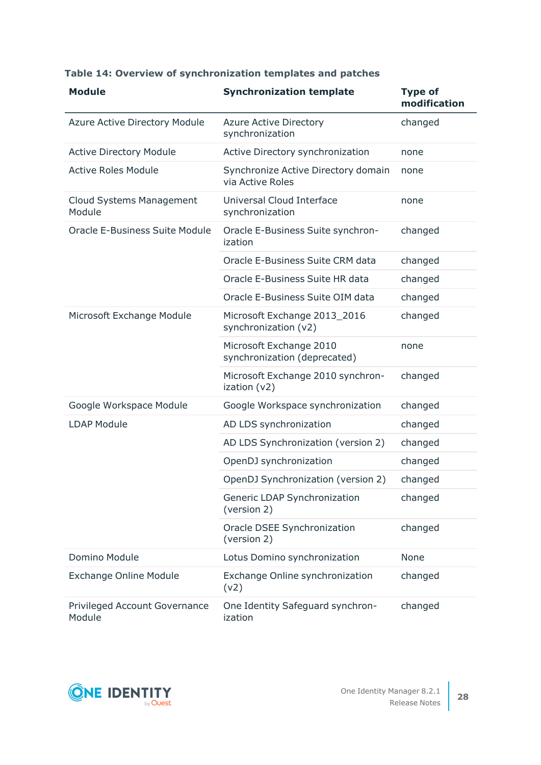| <b>Module</b>                             | <b>Synchronization template</b>                         | <b>Type of</b><br>modification |
|-------------------------------------------|---------------------------------------------------------|--------------------------------|
| <b>Azure Active Directory Module</b>      | <b>Azure Active Directory</b><br>synchronization        | changed                        |
| <b>Active Directory Module</b>            | Active Directory synchronization                        | none                           |
| <b>Active Roles Module</b>                | Synchronize Active Directory domain<br>via Active Roles | none                           |
| <b>Cloud Systems Management</b><br>Module | Universal Cloud Interface<br>synchronization            | none                           |
| <b>Oracle E-Business Suite Module</b>     | Oracle E-Business Suite synchron-<br>ization            | changed                        |
|                                           | Oracle E-Business Suite CRM data                        | changed                        |
|                                           | Oracle E-Business Suite HR data                         | changed                        |
|                                           | Oracle E-Business Suite OIM data                        | changed                        |
| Microsoft Exchange Module                 | Microsoft Exchange 2013_2016<br>synchronization (v2)    | changed                        |
|                                           | Microsoft Exchange 2010<br>synchronization (deprecated) | none                           |
|                                           | Microsoft Exchange 2010 synchron-<br>ization (v2)       | changed                        |
| Google Workspace Module                   | Google Workspace synchronization                        | changed                        |
| <b>LDAP Module</b>                        | AD LDS synchronization                                  | changed                        |
|                                           | AD LDS Synchronization (version 2)                      | changed                        |
|                                           | OpenDJ synchronization                                  | changed                        |
|                                           | OpenDJ Synchronization (version 2)                      | changed                        |
|                                           | Generic LDAP Synchronization<br>(version 2)             | changed                        |
|                                           | Oracle DSEE Synchronization<br>(version 2)              | changed                        |
| Domino Module                             | Lotus Domino synchronization                            | None                           |
| <b>Exchange Online Module</b>             | Exchange Online synchronization<br>(v2)                 | changed                        |
| Privileged Account Governance<br>Module   | One Identity Safeguard synchron-<br>ization             | changed                        |

## **Table 14: Overview of synchronization templates and patches**

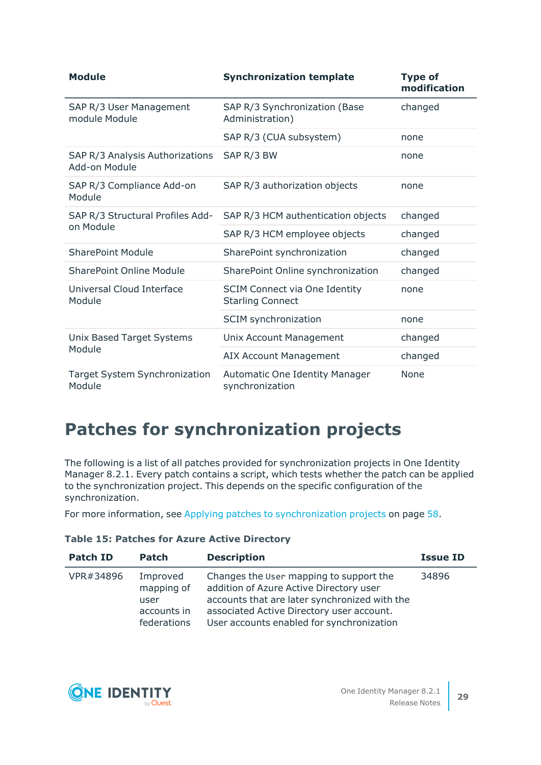| <b>Module</b>                                    | <b>Synchronization template</b>                                 | <b>Type of</b><br>modification |
|--------------------------------------------------|-----------------------------------------------------------------|--------------------------------|
| SAP R/3 User Management<br>module Module         | SAP R/3 Synchronization (Base<br>Administration)                | changed                        |
|                                                  | SAP R/3 (CUA subsystem)                                         | none                           |
| SAP R/3 Analysis Authorizations<br>Add-on Module | SAP R/3 BW                                                      | none                           |
| SAP R/3 Compliance Add-on<br>Module              | SAP R/3 authorization objects                                   | none                           |
| SAP R/3 Structural Profiles Add-                 | SAP R/3 HCM authentication objects                              | changed                        |
| on Module                                        | SAP R/3 HCM employee objects                                    | changed                        |
| <b>SharePoint Module</b>                         | SharePoint synchronization                                      | changed                        |
| <b>SharePoint Online Module</b>                  | SharePoint Online synchronization                               | changed                        |
| Universal Cloud Interface<br>Module              | <b>SCIM Connect via One Identity</b><br><b>Starling Connect</b> | none                           |
|                                                  | SCIM synchronization                                            | none                           |
| Unix Based Target Systems                        | Unix Account Management                                         | changed                        |
| Module                                           | <b>AIX Account Management</b>                                   | changed                        |
| Target System Synchronization<br>Module          | <b>Automatic One Identity Manager</b><br>synchronization        | <b>None</b>                    |

## <span id="page-28-0"></span>**Patches for synchronization projects**

The following is a list of all patches provided for synchronization projects in One Identity Manager 8.2.1. Every patch contains a script, which tests whether the patch can be applied to the synchronization project. This depends on the specific configuration of the synchronization.

For more information, see Applying patches to [synchronization](#page-57-0) projects on page 58.

|  |  |  |  |  |  | <b>Table 15: Patches for Azure Active Directory</b> |
|--|--|--|--|--|--|-----------------------------------------------------|
|--|--|--|--|--|--|-----------------------------------------------------|

| <b>Patch ID</b> | <b>Patch</b>                                                 | <b>Description</b>                                                                                                                                                                                                            | <b>Issue ID</b> |
|-----------------|--------------------------------------------------------------|-------------------------------------------------------------------------------------------------------------------------------------------------------------------------------------------------------------------------------|-----------------|
| VPR#34896       | Improved<br>mapping of<br>user<br>accounts in<br>federations | Changes the User mapping to support the<br>addition of Azure Active Directory user<br>accounts that are later synchronized with the<br>associated Active Directory user account.<br>User accounts enabled for synchronization | 34896           |

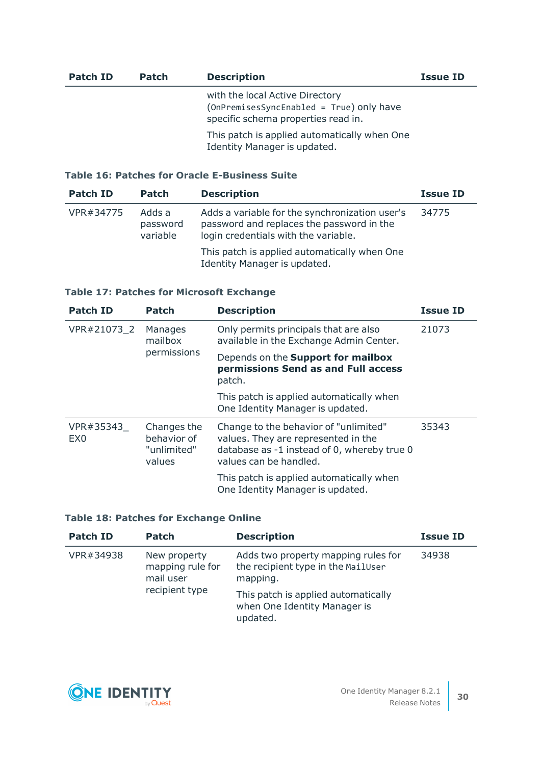| Patch ID | <b>Patch</b> | <b>Description</b>                                                                                                 | <b>Issue ID</b> |
|----------|--------------|--------------------------------------------------------------------------------------------------------------------|-----------------|
|          |              | with the local Active Directory<br>(OnPremisesSyncEnabled = True) only have<br>specific schema properties read in. |                 |
|          |              | This patch is applied automatically when One<br>Identity Manager is updated.                                       |                 |

## **Table 16: Patches for Oracle E-Business Suite**

| <b>Patch ID</b> | <b>Patch</b>                   | <b>Description</b>                                                                                                                  | <b>Issue ID</b> |
|-----------------|--------------------------------|-------------------------------------------------------------------------------------------------------------------------------------|-----------------|
| VPR#34775       | Adds a<br>password<br>variable | Adds a variable for the synchronization user's<br>password and replaces the password in the<br>login credentials with the variable. | 34775           |
|                 |                                | This patch is applied automatically when One<br>Identity Manager is updated.                                                        |                 |

## **Table 17: Patches for Microsoft Exchange**

| <b>Patch ID</b>              | Patch                                               | <b>Description</b>                                                                                                                                    | <b>Issue ID</b> |
|------------------------------|-----------------------------------------------------|-------------------------------------------------------------------------------------------------------------------------------------------------------|-----------------|
| VPR#21073 2                  | Manages<br>mailbox<br>permissions                   | Only permits principals that are also<br>available in the Exchange Admin Center.                                                                      | 21073           |
|                              |                                                     | Depends on the Support for mailbox<br>permissions Send as and Full access<br>patch.                                                                   |                 |
|                              |                                                     | This patch is applied automatically when<br>One Identity Manager is updated.                                                                          |                 |
| VPR#35343<br>EX <sub>0</sub> | Changes the<br>behavior of<br>"unlimited"<br>values | Change to the behavior of "unlimited"<br>values. They are represented in the<br>database as -1 instead of 0, whereby true 0<br>values can be handled. | 35343           |
|                              |                                                     | This patch is applied automatically when<br>One Identity Manager is updated.                                                                          |                 |

## **Table 18: Patches for Exchange Online**

| <b>Patch ID</b> | <b>Patch</b>                                  | <b>Description</b>                                                                    | <b>Issue ID</b> |
|-----------------|-----------------------------------------------|---------------------------------------------------------------------------------------|-----------------|
| VPR#34938       | New property<br>mapping rule for<br>mail user | Adds two property mapping rules for<br>the recipient type in the MailUser<br>mapping. | 34938           |
|                 | recipient type                                | This patch is applied automatically<br>when One Identity Manager is<br>updated.       |                 |

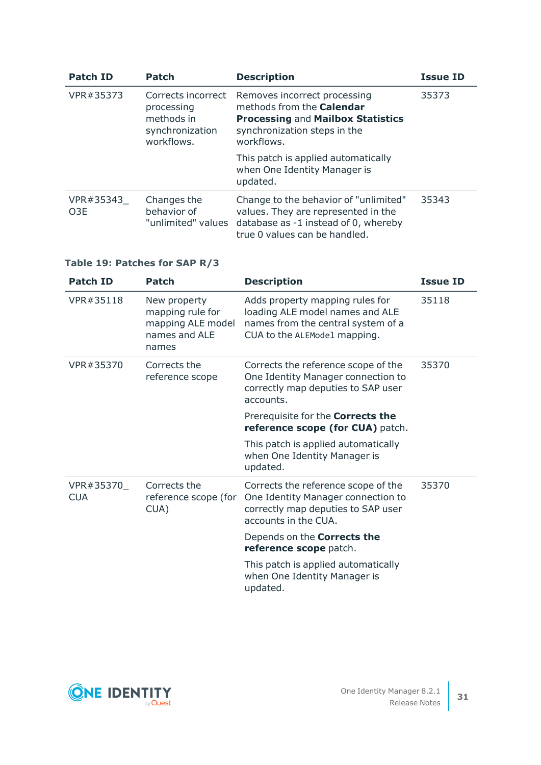| <b>Patch ID</b>               | <b>Patch</b>                                                                    | <b>Description</b>                                                                                                                                         | <b>Issue ID</b> |
|-------------------------------|---------------------------------------------------------------------------------|------------------------------------------------------------------------------------------------------------------------------------------------------------|-----------------|
| VPR#35373                     | Corrects incorrect<br>processing<br>methods in<br>synchronization<br>workflows. | Removes incorrect processing<br>methods from the <b>Calendar</b><br><b>Processing and Mailbox Statistics</b><br>synchronization steps in the<br>workflows. | 35373           |
|                               |                                                                                 | This patch is applied automatically<br>when One Identity Manager is<br>updated.                                                                            |                 |
| VPR#35343<br>O <sub>3</sub> E | Changes the<br>behavior of<br>"unlimited" values                                | Change to the behavior of "unlimited"<br>values. They are represented in the<br>database as -1 instead of 0, whereby<br>true 0 values can be handled.      | 35343           |

## **Table 19: Patches for SAP R/3**

| <b>Patch ID</b>          | Patch                                                                           | <b>Description</b>                                                                                                                       | <b>Issue ID</b> |
|--------------------------|---------------------------------------------------------------------------------|------------------------------------------------------------------------------------------------------------------------------------------|-----------------|
| VPR#35118                | New property<br>mapping rule for<br>mapping ALE model<br>names and ALE<br>names | Adds property mapping rules for<br>loading ALE model names and ALE<br>names from the central system of a<br>CUA to the ALEModel mapping. | 35118           |
| VPR#35370                | Corrects the<br>reference scope                                                 | Corrects the reference scope of the<br>One Identity Manager connection to<br>correctly map deputies to SAP user<br>accounts.             | 35370           |
|                          |                                                                                 | Prerequisite for the <b>Corrects the</b><br>reference scope (for CUA) patch.                                                             |                 |
|                          |                                                                                 | This patch is applied automatically<br>when One Identity Manager is<br>updated.                                                          |                 |
| VPR#35370_<br><b>CUA</b> | Corrects the<br>reference scope (for<br>CUA)                                    | Corrects the reference scope of the<br>One Identity Manager connection to<br>correctly map deputies to SAP user<br>accounts in the CUA.  | 35370           |
|                          |                                                                                 | Depends on the Corrects the<br>reference scope patch.                                                                                    |                 |
|                          |                                                                                 | This patch is applied automatically<br>when One Identity Manager is<br>updated.                                                          |                 |

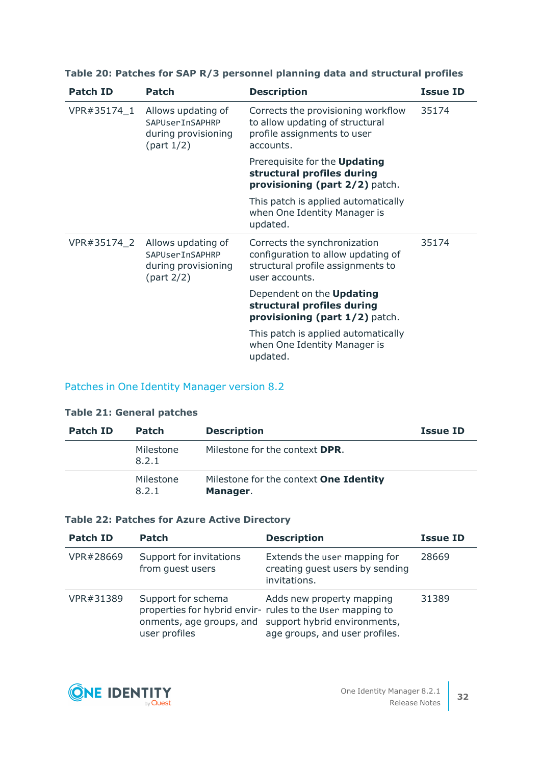| <b>Patch ID</b> | Patch                                                                         | <b>Description</b>                                                                                                        | <b>Issue ID</b> |
|-----------------|-------------------------------------------------------------------------------|---------------------------------------------------------------------------------------------------------------------------|-----------------|
| VPR#35174 1     | Allows updating of<br>SAPUSerTnSAPHRP<br>during provisioning<br>(part $1/2$ ) | Corrects the provisioning workflow<br>to allow updating of structural<br>profile assignments to user<br>accounts.         | 35174           |
|                 |                                                                               | Prerequisite for the <b>Updating</b><br>structural profiles during<br>provisioning (part 2/2) patch.                      |                 |
|                 |                                                                               | This patch is applied automatically<br>when One Identity Manager is<br>updated.                                           |                 |
| VPR#35174_2     | Allows updating of<br>SAPUserInSAPHRP<br>during provisioning<br>(part 2/2)    | Corrects the synchronization<br>configuration to allow updating of<br>structural profile assignments to<br>user accounts. | 35174           |
|                 |                                                                               | Dependent on the <b>Updating</b><br>structural profiles during<br>provisioning (part 1/2) patch.                          |                 |
|                 |                                                                               | This patch is applied automatically<br>when One Identity Manager is<br>updated.                                           |                 |

## **Table 20: Patches for SAP R/3 personnel planning data and structural profiles**

## Patches in One Identity Manager version 8.2

### **Table 21: General patches**

| Patch ID | <b>Patch</b>       | <b>Description</b>                                        | <b>Issue ID</b> |
|----------|--------------------|-----------------------------------------------------------|-----------------|
|          | Milestone<br>8.2.1 | Milestone for the context <b>DPR</b> .                    |                 |
|          | Milestone<br>8.2.1 | Milestone for the context <b>One Identity</b><br>Manager. |                 |

### **Table 22: Patches for Azure Active Directory**

| <b>Patch ID</b> | Patch                                       | <b>Description</b>                                                                                                                                                                | <b>Issue ID</b> |
|-----------------|---------------------------------------------|-----------------------------------------------------------------------------------------------------------------------------------------------------------------------------------|-----------------|
| VPR#28669       | Support for invitations<br>from guest users | Extends the user mapping for<br>creating guest users by sending<br>invitations.                                                                                                   | 28669           |
| VPR#31389       | Support for schema<br>user profiles         | Adds new property mapping<br>properties for hybrid envir- rules to the User mapping to<br>onments, age groups, and support hybrid environments,<br>age groups, and user profiles. | 31389           |

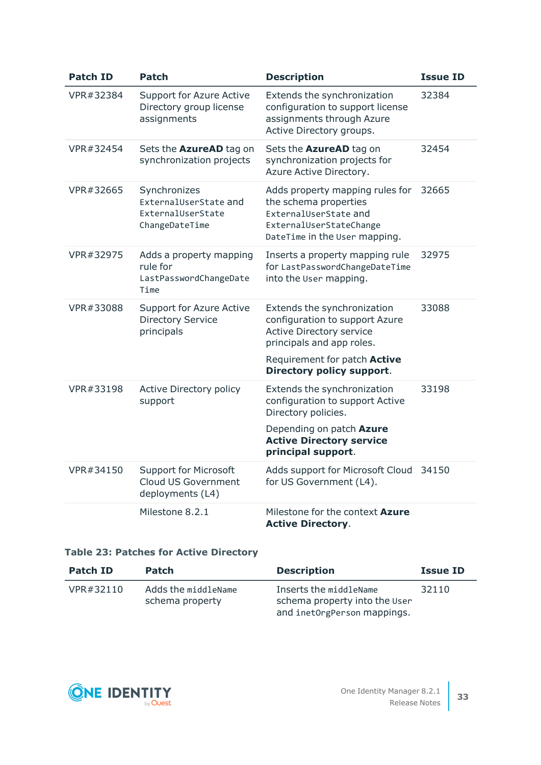| <b>Patch ID</b> | <b>Patch</b>                                                                 | <b>Description</b>                                                                                                                                                                         | <b>Issue ID</b> |
|-----------------|------------------------------------------------------------------------------|--------------------------------------------------------------------------------------------------------------------------------------------------------------------------------------------|-----------------|
| VPR#32384       | <b>Support for Azure Active</b><br>Directory group license<br>assignments    | Extends the synchronization<br>configuration to support license<br>assignments through Azure<br>Active Directory groups.                                                                   | 32384           |
| VPR#32454       | Sets the <b>AzureAD</b> tag on<br>synchronization projects                   | Sets the AzureAD tag on<br>synchronization projects for<br>Azure Active Directory.                                                                                                         | 32454           |
| VPR#32665       | Synchronizes<br>ExternalUserState and<br>ExternalUserState<br>ChangeDateTime | Adds property mapping rules for<br>the schema properties<br>ExternalUserState and<br>ExternalUserStateChange<br>DateTime in the User mapping.                                              | 32665           |
| VPR#32975       | Adds a property mapping<br>rule for<br>LastPasswordChangeDate<br>Time        | Inserts a property mapping rule<br>for LastPasswordChangeDateTime<br>into the User mapping.                                                                                                | 32975           |
| VPR#33088       | <b>Support for Azure Active</b><br><b>Directory Service</b><br>principals    | Extends the synchronization<br>configuration to support Azure<br><b>Active Directory service</b><br>principals and app roles.<br>Requirement for patch Active<br>Directory policy support. | 33088           |
| VPR#33198       | <b>Active Directory policy</b><br>support                                    | Extends the synchronization<br>configuration to support Active<br>Directory policies.<br>Depending on patch Azure<br><b>Active Directory service</b><br>principal support.                 | 33198           |
| VPR#34150       | <b>Support for Microsoft</b><br>Cloud US Government<br>deployments (L4)      | Adds support for Microsoft Cloud<br>for US Government (L4).                                                                                                                                | 34150           |
|                 | Milestone 8.2.1                                                              | Milestone for the context Azure<br><b>Active Directory.</b>                                                                                                                                |                 |

## **Table 23: Patches for Active Directory**

| Patch ID  | <b>Patch</b>                           | <b>Description</b>                                                                     | <b>Issue ID</b> |
|-----------|----------------------------------------|----------------------------------------------------------------------------------------|-----------------|
| VPR#32110 | Adds the middleName<br>schema property | Inserts the middleName<br>schema property into the User<br>and inetOrgPerson mappings. | 32110           |

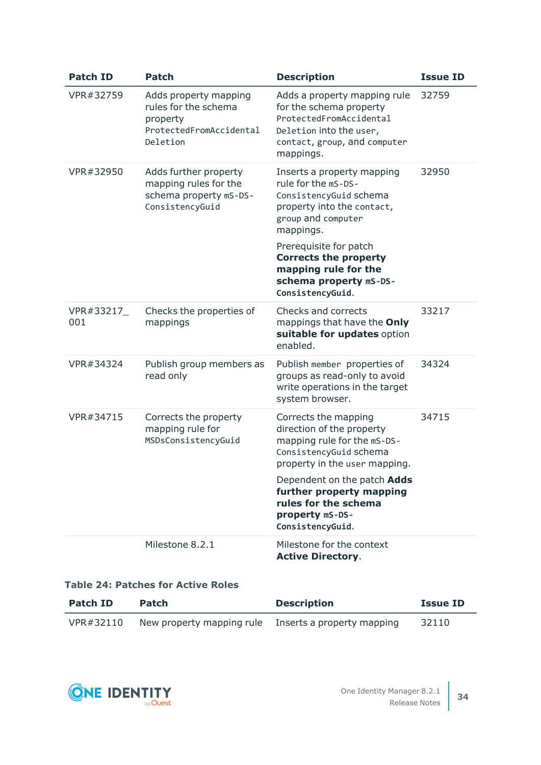| <b>Patch ID</b>  | <b>Patch</b>                                                                                     | <b>Description</b>                                                                                                                                                                                                                                                           | <b>Issue ID</b> |
|------------------|--------------------------------------------------------------------------------------------------|------------------------------------------------------------------------------------------------------------------------------------------------------------------------------------------------------------------------------------------------------------------------------|-----------------|
| VPR#32759        | Adds property mapping<br>rules for the schema<br>property<br>ProtectedFromAccidental<br>Deletion | Adds a property mapping rule<br>for the schema property<br>ProtectedFromAccidental<br>Deletion into the user,<br>contact, group, and computer<br>mappings.                                                                                                                   | 32759           |
| VPR#32950        | Adds further property<br>mapping rules for the<br>schema property mS-DS-<br>ConsistencyGuid      | Inserts a property mapping<br>rule for the mS-DS-<br>ConsistencyGuid schema<br>property into the contact,<br>group and computer<br>mappings.<br>Prerequisite for patch<br><b>Corrects the property</b><br>mapping rule for the<br>schema property mS-DS-<br>ConsistencyGuid. | 32950           |
| VPR#33217<br>001 | Checks the properties of<br>mappings                                                             | Checks and corrects<br>mappings that have the Only<br>suitable for updates option<br>enabled.                                                                                                                                                                                | 33217           |
| VPR#34324        | Publish group members as<br>read only                                                            | Publish member properties of<br>groups as read-only to avoid<br>write operations in the target<br>system browser.                                                                                                                                                            | 34324           |
| VPR#34715        | Corrects the property<br>mapping rule for<br>MSDsConsistencyGuid                                 | Corrects the mapping<br>direction of the property<br>mapping rule for the mS-DS-<br>ConsistencyGuid schema<br>property in the user mapping.<br>Dependent on the patch Adds<br>further property mapping<br>rules for the schema<br>property mS-DS-<br>ConsistencyGuid.        | 34715           |
|                  | Milestone 8.2.1                                                                                  | Milestone for the context<br><b>Active Directory.</b>                                                                                                                                                                                                                        |                 |

### **Table 24: Patches for Active Roles**

| Patch ID  | <b>Patch</b>                                         | <b>Description</b> | <b>Issue ID</b> |
|-----------|------------------------------------------------------|--------------------|-----------------|
| VPR#32110 | New property mapping rule Inserts a property mapping |                    | 32110           |

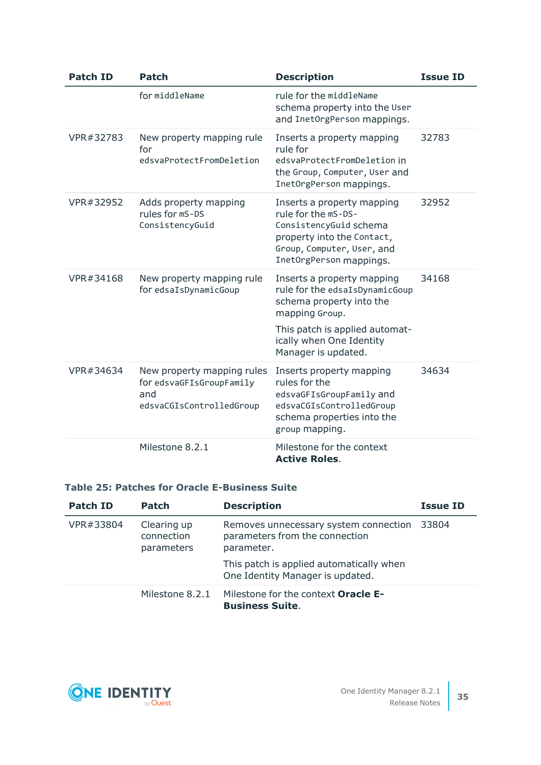| <b>Patch ID</b> | <b>Patch</b>                                                                              | <b>Description</b>                                                                                                                                                                              | <b>Issue ID</b> |
|-----------------|-------------------------------------------------------------------------------------------|-------------------------------------------------------------------------------------------------------------------------------------------------------------------------------------------------|-----------------|
|                 | for middleName                                                                            | rule for the middleName<br>schema property into the User<br>and InetOrgPerson mappings.                                                                                                         |                 |
| VPR#32783       | New property mapping rule<br>for<br>edsvaProtectFromDeletion                              | Inserts a property mapping<br>rule for<br>edsvaProtectFromDeletion in<br>the Group, Computer, User and<br>InetOrgPerson mappings.                                                               | 32783           |
| VPR#32952       | Adds property mapping<br>rules for mS-DS<br>ConsistencyGuid                               | Inserts a property mapping<br>rule for the mS-DS-<br>ConsistencyGuid schema<br>property into the Contact,<br>Group, Computer, User, and<br>InetOrgPerson mappings.                              | 32952           |
| VPR#34168       | New property mapping rule<br>for edsaIsDynamicGoup                                        | Inserts a property mapping<br>rule for the edsaIsDynamicGoup<br>schema property into the<br>mapping Group.<br>This patch is applied automat-<br>ically when One Identity<br>Manager is updated. | 34168           |
| VPR#34634       | New property mapping rules<br>for edsvaGFIsGroupFamily<br>and<br>edsvaCGIsControlledGroup | Inserts property mapping<br>rules for the<br>edsvaGFIsGroupFamily and<br>edsvaCGIsControlledGroup<br>schema properties into the<br>group mapping.                                               | 34634           |
|                 | Milestone 8.2.1                                                                           | Milestone for the context<br><b>Active Roles.</b>                                                                                                                                               |                 |

### **Table 25: Patches for Oracle E-Business Suite**

| <b>Patch ID</b>                                      | <b>Patch</b>    | <b>Description</b>                                                                    | <b>Issue ID</b> |
|------------------------------------------------------|-----------------|---------------------------------------------------------------------------------------|-----------------|
| VPR#33804<br>Clearing up<br>connection<br>parameters |                 | Removes unnecessary system connection<br>parameters from the connection<br>parameter. | 33804           |
|                                                      |                 | This patch is applied automatically when<br>One Identity Manager is updated.          |                 |
|                                                      | Milestone 8.2.1 | Milestone for the context <b>Oracle E-</b><br><b>Business Suite.</b>                  |                 |

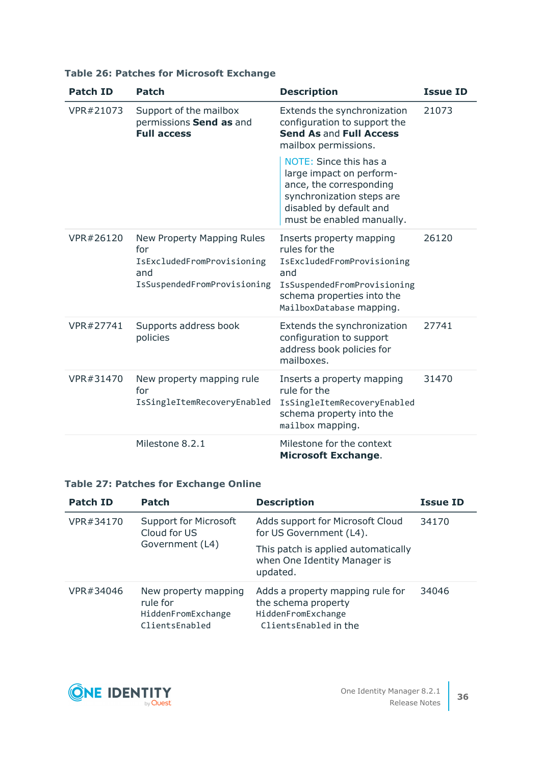| <b>Patch ID</b> | <b>Patch</b>                                                                                          | <b>Description</b>                                                                                                                                                      | <b>Issue ID</b> |
|-----------------|-------------------------------------------------------------------------------------------------------|-------------------------------------------------------------------------------------------------------------------------------------------------------------------------|-----------------|
| VPR#21073       | Support of the mailbox<br>permissions Send as and<br><b>Full access</b>                               | Extends the synchronization<br>configuration to support the<br>Send As and Full Access<br>mailbox permissions.                                                          | 21073           |
|                 |                                                                                                       | NOTE: Since this has a<br>large impact on perform-<br>ance, the corresponding<br>synchronization steps are<br>disabled by default and<br>must be enabled manually.      |                 |
| VPR#26120       | New Property Mapping Rules<br>for<br>IsExcludedFromProvisioning<br>and<br>IsSuspendedFromProvisioning | Inserts property mapping<br>rules for the<br>IsExcludedFromProvisioning<br>and<br>IsSuspendedFromProvisioning<br>schema properties into the<br>MailboxDatabase mapping. | 26120           |
| VPR#27741       | Supports address book<br>policies                                                                     | Extends the synchronization<br>configuration to support<br>address book policies for<br>mailboxes.                                                                      | 27741           |
| VPR#31470       | New property mapping rule<br>for<br>IsSingleItemRecoveryEnabled                                       | Inserts a property mapping<br>rule for the<br>IsSingleItemRecoveryEnabled<br>schema property into the<br>mailbox mapping.                                               | 31470           |
|                 | Milestone 8.2.1                                                                                       | Milestone for the context<br><b>Microsoft Exchange.</b>                                                                                                                 |                 |

## **Table 26: Patches for Microsoft Exchange**

## **Table 27: Patches for Exchange Online**

| <b>Patch ID</b> | <b>Patch</b>                                                             | <b>Description</b>                                                                                     | <b>Issue ID</b> |
|-----------------|--------------------------------------------------------------------------|--------------------------------------------------------------------------------------------------------|-----------------|
| VPR#34170       | <b>Support for Microsoft</b><br>Cloud for US<br>Government (L4)          | Adds support for Microsoft Cloud<br>for US Government (L4).                                            | 34170           |
|                 |                                                                          | This patch is applied automatically<br>when One Identity Manager is<br>updated.                        |                 |
| VPR#34046       | New property mapping<br>rule for<br>HiddenFromExchange<br>ClientsEnabled | Adds a property mapping rule for<br>the schema property<br>HiddenFromExchange<br>ClientsEnabled in the | 34046           |

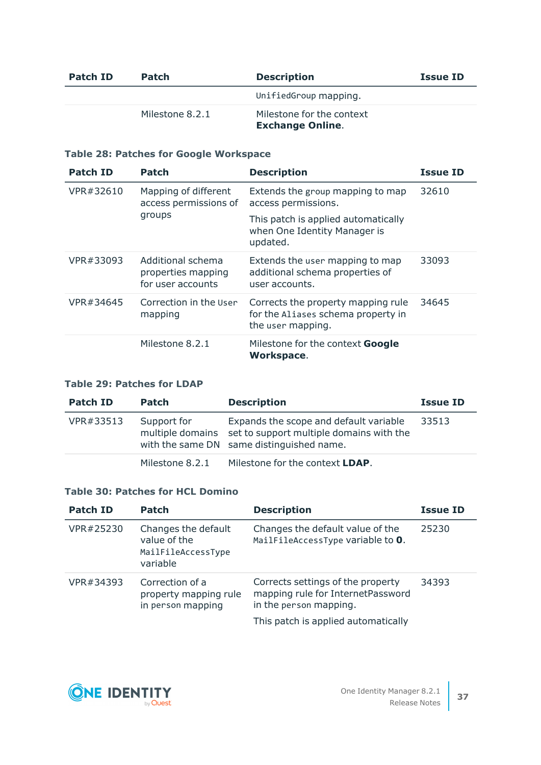| Patch ID | <b>Patch</b>    | <b>Description</b>                                   | <b>Issue ID</b> |
|----------|-----------------|------------------------------------------------------|-----------------|
|          |                 | UnifiedGroup mapping.                                |                 |
|          | Milestone 8.2.1 | Milestone for the context<br><b>Exchange Online.</b> |                 |

## **Table 28: Patches for Google Workspace**

| <b>Patch ID</b> | Patch                                                        | <b>Description</b>                                                                            | <b>Issue ID</b> |
|-----------------|--------------------------------------------------------------|-----------------------------------------------------------------------------------------------|-----------------|
| VPR#32610       | Mapping of different<br>access permissions of<br>groups      | Extends the group mapping to map<br>access permissions.                                       | 32610           |
|                 |                                                              | This patch is applied automatically<br>when One Identity Manager is<br>updated.               |                 |
| VPR#33093       | Additional schema<br>properties mapping<br>for user accounts | Extends the user mapping to map<br>additional schema properties of<br>user accounts.          | 33093           |
| VPR#34645       | Correction in the User<br>mapping                            | Corrects the property mapping rule<br>for the Aliases schema property in<br>the user mapping. | 34645           |
|                 | Milestone 8.2.1                                              | Milestone for the context <b>Google</b><br>Workspace.                                         |                 |

## **Table 29: Patches for LDAP**

| <b>Patch ID</b> | <b>Patch</b>    | <b>Description</b>                                                                                                                               | <b>Issue ID</b> |
|-----------------|-----------------|--------------------------------------------------------------------------------------------------------------------------------------------------|-----------------|
| VPR#33513       | Support for     | Expands the scope and default variable<br>multiple domains set to support multiple domains with the<br>with the same DN same distinguished name. | 33513           |
|                 | Milestone 8.2.1 | Milestone for the context LDAP.                                                                                                                  |                 |

### **Table 30: Patches for HCL Domino**

| <b>Patch ID</b> | <b>Patch</b>                                                          | <b>Description</b>                                                                                                                      | <b>Issue ID</b> |
|-----------------|-----------------------------------------------------------------------|-----------------------------------------------------------------------------------------------------------------------------------------|-----------------|
| VPR#25230       | Changes the default<br>value of the<br>MailFileAccessType<br>variable | Changes the default value of the<br>MailFileAccessType variable to 0.                                                                   | 25230           |
| VPR#34393       | Correction of a<br>property mapping rule<br>in person mapping         | Corrects settings of the property<br>mapping rule for InternetPassword<br>in the person mapping.<br>This patch is applied automatically | 34393           |

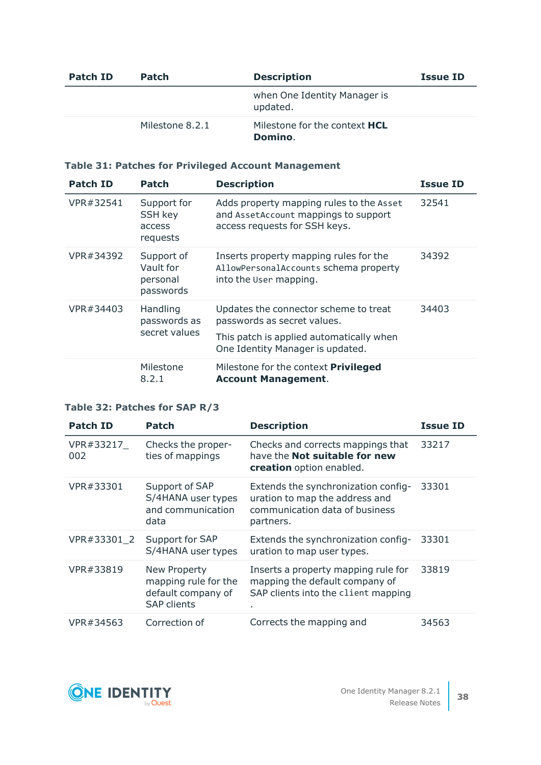| Patch ID | <b>Patch</b>    | <b>Description</b>                              | <b>Issue ID</b> |
|----------|-----------------|-------------------------------------------------|-----------------|
|          |                 | when One Identity Manager is<br>updated.        |                 |
|          | Milestone 8.2.1 | Milestone for the context <b>HCL</b><br>Domino. |                 |

## **Table 31: Patches for Privileged Account Management**

| <b>Patch ID</b> | <b>Patch</b>                                        | <b>Description</b>                                                                                                | <b>Issue ID</b> |
|-----------------|-----------------------------------------------------|-------------------------------------------------------------------------------------------------------------------|-----------------|
| VPR#32541       | Support for<br><b>SSH key</b><br>access<br>requests | Adds property mapping rules to the Asset<br>and AssetAccount mappings to support<br>access requests for SSH keys. | 32541           |
| VPR#34392       | Support of<br>Vault for<br>personal<br>passwords    | Inserts property mapping rules for the<br>AllowPersonalAccounts schema property<br>into the User mapping.         | 34392           |
| VPR#34403       | Handling<br>passwords as<br>secret values           | Updates the connector scheme to treat<br>passwords as secret values.                                              | 34403           |
|                 |                                                     | This patch is applied automatically when<br>One Identity Manager is updated.                                      |                 |
|                 | Milestone<br>8.2.1                                  | Milestone for the context Privileged<br><b>Account Management.</b>                                                |                 |

## **Table 32: Patches for SAP R/3**

| <b>Patch ID</b>  | Patch                                                                            | <b>Description</b>                                                                                                   | <b>Issue ID</b> |
|------------------|----------------------------------------------------------------------------------|----------------------------------------------------------------------------------------------------------------------|-----------------|
| VPR#33217<br>002 | Checks the proper-<br>ties of mappings                                           | Checks and corrects mappings that<br>have the <b>Not suitable for new</b><br>creation option enabled.                | 33217           |
| VPR#33301        | Support of SAP<br>S/4HANA user types<br>and communication<br>data                | Extends the synchronization config-<br>uration to map the address and<br>communication data of business<br>partners. | 33301           |
| VPR#33301 2      | Support for SAP<br>S/4HANA user types                                            | Extends the synchronization config-<br>uration to map user types.                                                    | 33301           |
| VPR#33819        | New Property<br>mapping rule for the<br>default company of<br><b>SAP clients</b> | Inserts a property mapping rule for<br>mapping the default company of<br>SAP clients into the client mapping<br>٠.   | 33819           |
| VPR#34563        | Correction of                                                                    | Corrects the mapping and                                                                                             | 34563           |

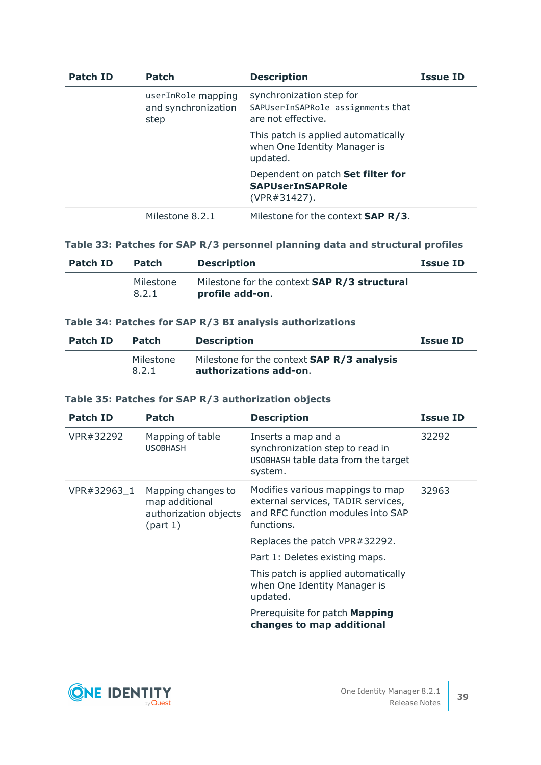| <b>Patch ID</b> | <b>Patch</b>                                      | <b>Description</b>                                                                  | <b>Issue ID</b> |
|-----------------|---------------------------------------------------|-------------------------------------------------------------------------------------|-----------------|
|                 | userInRole mapping<br>and synchronization<br>step | synchronization step for<br>SAPUserInSAPRole assignments that<br>are not effective. |                 |
|                 |                                                   | This patch is applied automatically<br>when One Identity Manager is<br>updated.     |                 |
|                 |                                                   | Dependent on patch Set filter for<br><b>SAPUserInSAPRole</b><br>$(VPR#31427)$ .     |                 |
|                 | Milestone 8.2.1                                   | Milestone for the context <b>SAP R/3</b> .                                          |                 |

### **Table 33: Patches for SAP R/3 personnel planning data and structural profiles**

| Patch ID | <b>Patch</b>       | <b>Description</b>                                                     | <b>Issue ID</b> |
|----------|--------------------|------------------------------------------------------------------------|-----------------|
|          | Milestone<br>8.2.1 | Milestone for the context <b>SAP R/3 structural</b><br>profile add-on. |                 |

### **Table 34: Patches for SAP R/3 BI analysis authorizations**

| Patch ID | <b>Patch</b>       | <b>Description</b>                                                          | <b>Issue ID</b> |
|----------|--------------------|-----------------------------------------------------------------------------|-----------------|
|          | Milestone<br>8.2.1 | Milestone for the context <b>SAP R/3 analysis</b><br>authorizations add-on. |                 |

### **Table 35: Patches for SAP R/3 authorization objects**

| <b>Patch ID</b> | Patch                                                                     | <b>Description</b>                                                                                                        | <b>Issue ID</b> |
|-----------------|---------------------------------------------------------------------------|---------------------------------------------------------------------------------------------------------------------------|-----------------|
| VPR#32292       | Mapping of table<br><b>USOBHASH</b>                                       | Inserts a map and a<br>synchronization step to read in<br>USOBHASH table data from the target<br>system.                  | 32292           |
| VPR#32963 1     | Mapping changes to<br>map additional<br>authorization objects<br>(part 1) | Modifies various mappings to map<br>external services, TADIR services,<br>and RFC function modules into SAP<br>functions. | 32963           |
|                 |                                                                           | Replaces the patch VPR#32292.                                                                                             |                 |
|                 |                                                                           | Part 1: Deletes existing maps.                                                                                            |                 |
|                 |                                                                           | This patch is applied automatically<br>when One Identity Manager is<br>updated.                                           |                 |
|                 |                                                                           | Prerequisite for patch Mapping<br>changes to map additional                                                               |                 |

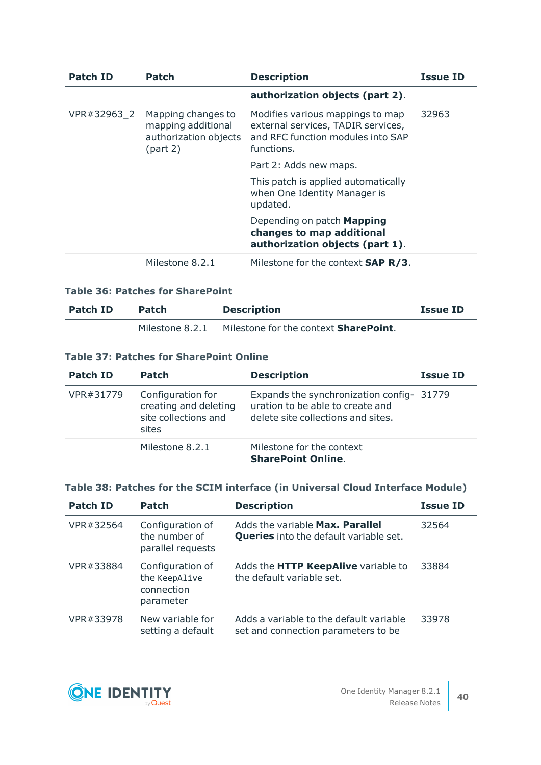| <b>Patch ID</b> | Patch                                                                         | <b>Description</b>                                                                                                        | <b>Issue ID</b> |
|-----------------|-------------------------------------------------------------------------------|---------------------------------------------------------------------------------------------------------------------------|-----------------|
|                 |                                                                               | authorization objects (part 2).                                                                                           |                 |
| VPR#32963 2     | Mapping changes to<br>mapping additional<br>authorization objects<br>(part 2) | Modifies various mappings to map<br>external services, TADIR services,<br>and RFC function modules into SAP<br>functions. | 32963           |
|                 |                                                                               | Part 2: Adds new maps.                                                                                                    |                 |
|                 |                                                                               | This patch is applied automatically<br>when One Identity Manager is<br>updated.                                           |                 |
|                 |                                                                               | Depending on patch Mapping<br>changes to map additional<br>authorization objects (part 1).                                |                 |
|                 | Milestone 8.2.1                                                               | Milestone for the context <b>SAP R/3.</b>                                                                                 |                 |

### **Table 36: Patches for SharePoint**

| Patch ID | <b>Patch</b>    | <b>Description</b>                            | <b>Issue ID</b> |
|----------|-----------------|-----------------------------------------------|-----------------|
|          | Milestone 8.2.1 | Milestone for the context <b>SharePoint</b> . |                 |

### **Table 37: Patches for SharePoint Online**

| <b>Patch ID</b> | <b>Patch</b>                                                                | <b>Description</b>                                                                                                  | <b>Issue ID</b> |
|-----------------|-----------------------------------------------------------------------------|---------------------------------------------------------------------------------------------------------------------|-----------------|
| VPR#31779       | Configuration for<br>creating and deleting<br>site collections and<br>sites | Expands the synchronization config- 31779<br>uration to be able to create and<br>delete site collections and sites. |                 |
|                 | Milestone 8.2.1                                                             | Milestone for the context<br><b>SharePoint Online.</b>                                                              |                 |

### **Table 38: Patches for the SCIM interface (in Universal Cloud Interface Module)**

| <b>Patch ID</b> | <b>Patch</b>                                                 | <b>Description</b>                                                               | <b>Issue ID</b> |
|-----------------|--------------------------------------------------------------|----------------------------------------------------------------------------------|-----------------|
| VPR#32564       | Configuration of<br>the number of<br>parallel requests       | Adds the variable Max. Parallel<br><b>Queries</b> into the default variable set. | 32564           |
| VPR#33884       | Configuration of<br>the KeepAlive<br>connection<br>parameter | Adds the HTTP KeepAlive variable to<br>the default variable set.                 | 33884           |
| VPR#33978       | New variable for<br>setting a default                        | Adds a variable to the default variable<br>set and connection parameters to be   | 33978           |

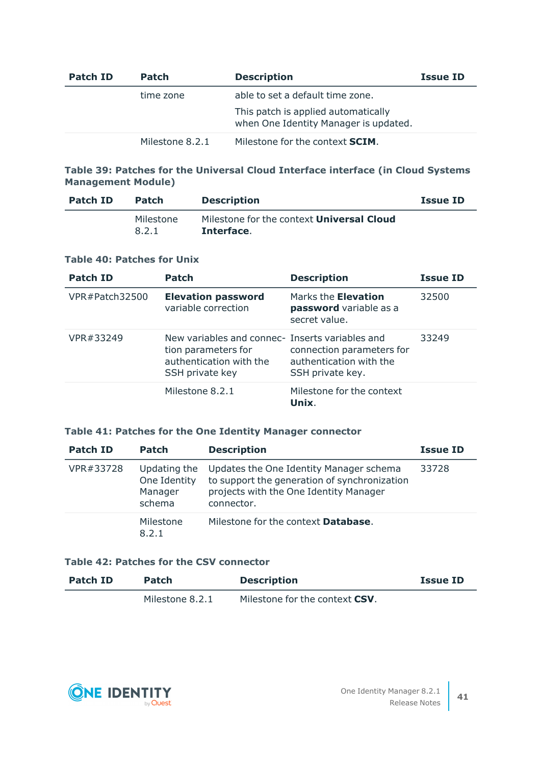| Patch ID | <b>Patch</b>    | <b>Description</b>                                                           | <b>Issue ID</b> |
|----------|-----------------|------------------------------------------------------------------------------|-----------------|
|          | time zone       | able to set a default time zone.                                             |                 |
|          |                 | This patch is applied automatically<br>when One Identity Manager is updated. |                 |
|          | Milestone 8.2.1 | Milestone for the context <b>SCIM</b> .                                      |                 |

## **Table 39: Patches for the Universal Cloud Interface interface (in Cloud Systems Management Module)**

| Patch ID | <b>Patch</b>       | <b>Description</b>                                             | <b>Issue ID</b> |
|----------|--------------------|----------------------------------------------------------------|-----------------|
|          | Milestone<br>8.2.1 | Milestone for the context <b>Universal Cloud</b><br>Interface. |                 |

### **Table 40: Patches for Unix**

| <b>Patch ID</b> | <b>Patch</b>                                                                                                         | <b>Description</b>                                                       | <b>Issue ID</b> |
|-----------------|----------------------------------------------------------------------------------------------------------------------|--------------------------------------------------------------------------|-----------------|
| VPR#Patch32500  | <b>Elevation password</b><br>variable correction                                                                     | Marks the <b>Elevation</b><br>password variable as a<br>secret value.    | 32500           |
| VPR#33249       | New variables and connec- Inserts variables and<br>tion parameters for<br>authentication with the<br>SSH private key | connection parameters for<br>authentication with the<br>SSH private key. | 33249           |
|                 | Milestone 8.2.1                                                                                                      | Milestone for the context<br>Unix.                                       |                 |

### **Table 41: Patches for the One Identity Manager connector**

| <b>Patch ID</b> | <b>Patch</b>                                      | <b>Description</b>                                                                                                                              | <b>Issue ID</b> |
|-----------------|---------------------------------------------------|-------------------------------------------------------------------------------------------------------------------------------------------------|-----------------|
| VPR#33728       | Updating the<br>One Identity<br>Manager<br>schema | Updates the One Identity Manager schema<br>to support the generation of synchronization<br>projects with the One Identity Manager<br>connector. | 33728           |
|                 | Milestone<br>8.2.1                                | Milestone for the context <b>Database</b> .                                                                                                     |                 |

### **Table 42: Patches for the CSV connector**

| Patch ID | <b>Patch</b>    | <b>Description</b>                     | <b>Issue ID</b> |
|----------|-----------------|----------------------------------------|-----------------|
|          | Milestone 8.2.1 | Milestone for the context <b>CSV</b> . |                 |

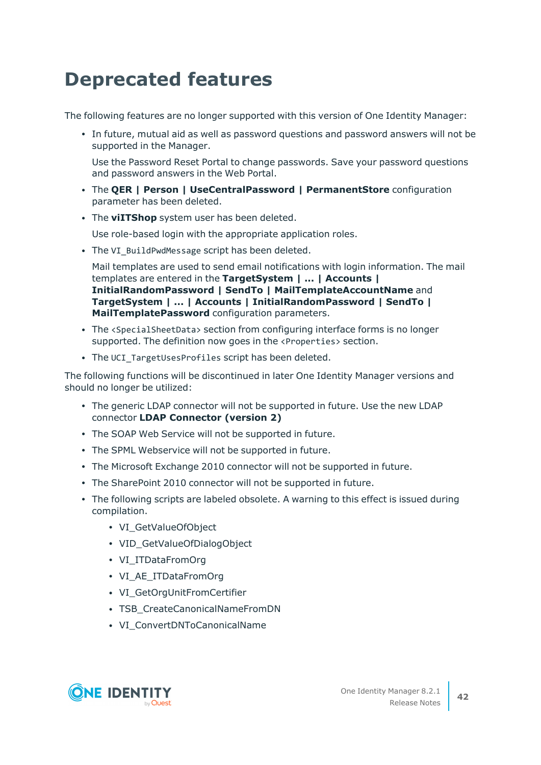# <span id="page-41-0"></span>**Deprecated features**

The following features are no longer supported with this version of One Identity Manager:

• In future, mutual aid as well as password questions and password answers will not be supported in the Manager.

Use the Password Reset Portal to change passwords. Save your password questions and password answers in the Web Portal.

- <sup>l</sup> The **QER | Person | UseCentralPassword | PermanentStore** configuration parameter has been deleted.
- The **viITShop** system user has been deleted.

Use role-based login with the appropriate application roles.

• The VI BuildPwdMessage script has been deleted.

Mail templates are used to send email notifications with login information. The mail templates are entered in the **TargetSystem | ... | Accounts | InitialRandomPassword | SendTo | MailTemplateAccountName** and **TargetSystem | ... | Accounts | InitialRandomPassword | SendTo | MailTemplatePassword** configuration parameters.

- The <SpecialSheetData> section from configuring interface forms is no longer supported. The definition now goes in the <Properties> section.
- The UCI\_TargetUsesProfiles script has been deleted.

The following functions will be discontinued in later One Identity Manager versions and should no longer be utilized:

- The generic LDAP connector will not be supported in future. Use the new LDAP connector **LDAP Connector (version 2)**
- The SOAP Web Service will not be supported in future.
- The SPML Webservice will not be supported in future.
- The Microsoft Exchange 2010 connector will not be supported in future.
- The SharePoint 2010 connector will not be supported in future.
- The following scripts are labeled obsolete. A warning to this effect is issued during compilation.
	- VI GetValueOfObject
	- VID GetValueOfDialogObject
	- VI\_ITDataFromOrg
	- VI\_AE\_ITDataFromOrg
	- VI\_GetOrgUnitFromCertifier
	- TSB CreateCanonicalNameFromDN
	- VI ConvertDNToCanonicalName

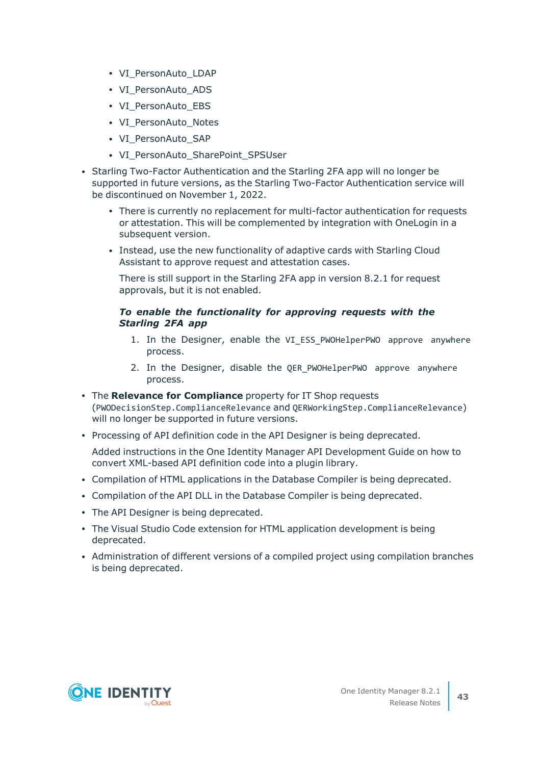- VI PersonAuto LDAP
- VI PersonAuto ADS
- VI PersonAuto EBS
- VI PersonAuto Notes
- VI PersonAuto SAP
- VI PersonAuto SharePoint SPSUser
- Starling Two-Factor Authentication and the Starling 2FA app will no longer be supported in future versions, as the Starling Two-Factor Authentication service will be discontinued on November 1, 2022.
	- There is currently no replacement for multi-factor authentication for requests or attestation. This will be complemented by integration with OneLogin in a subsequent version.
	- Instead, use the new functionality of adaptive cards with Starling Cloud Assistant to approve request and attestation cases.

There is still support in the Starling 2FA app in version 8.2.1 for request approvals, but it is not enabled.

### *To enable the functionality for approving requests with the Starling 2FA app*

- 1. In the Designer, enable the VI ESS PWOHelperPWO approve anywhere process.
- 2. In the Designer, disable the QER\_PWOHelperPWO approve anywhere process.
- **The Relevance for Compliance** property for IT Shop requests (PWODecisionStep.ComplianceRelevance and QERWorkingStep.ComplianceRelevance) will no longer be supported in future versions.
- Processing of API definition code in the API Designer is being deprecated.

Added instructions in the One Identity Manager API Development Guide on how to convert XML-based API definition code into a plugin library.

- Compilation of HTML applications in the Database Compiler is being deprecated.
- Compilation of the API DLL in the Database Compiler is being deprecated.
- The API Designer is being deprecated.
- The Visual Studio Code extension for HTML application development is being deprecated.
- Administration of different versions of a compiled project using compilation branches is being deprecated.

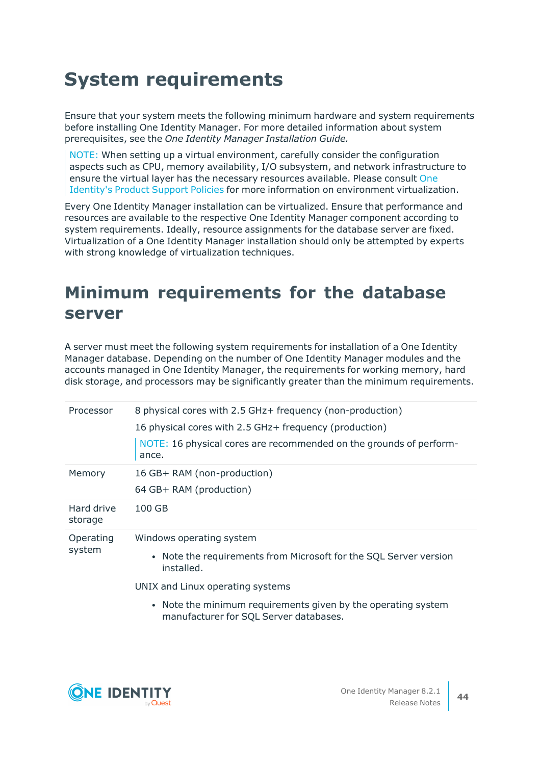# **System requirements**

Ensure that your system meets the following minimum hardware and system requirements before installing One Identity Manager. For more detailed information about system prerequisites, see the *One Identity Manager Installation Guide.*

NOTE: When setting up a virtual environment, carefully consider the configuration aspects such as CPU, memory availability, I/O subsystem, and network infrastructure to ensure the virtual layer has the necessary resources available. Please consult [One](https://support.oneidentity.com/essentials/support-guide#tab3) [Identity's](https://support.oneidentity.com/essentials/support-guide#tab3) Product Support Policies for more information on environment virtualization.

Every One Identity Manager installation can be virtualized. Ensure that performance and resources are available to the respective One Identity Manager component according to system requirements. Ideally, resource assignments for the database server are fixed. Virtualization of a One Identity Manager installation should only be attempted by experts with strong knowledge of virtualization techniques.

## **Minimum requirements for the database server**

A server must meet the following system requirements for installation of a One Identity Manager database. Depending on the number of One Identity Manager modules and the accounts managed in One Identity Manager, the requirements for working memory, hard disk storage, and processors may be significantly greater than the minimum requirements.

| Processor             | 8 physical cores with 2.5 GHz + frequency (non-production)<br>16 physical cores with 2.5 GHz+ frequency (production)<br>NOTE: 16 physical cores are recommended on the grounds of perform-<br>ance. |
|-----------------------|-----------------------------------------------------------------------------------------------------------------------------------------------------------------------------------------------------|
| Memory                | 16 GB+ RAM (non-production)<br>64 GB+ RAM (production)                                                                                                                                              |
| Hard drive<br>storage | $100$ GB                                                                                                                                                                                            |
| Operating<br>system   | Windows operating system<br>• Note the requirements from Microsoft for the SQL Server version<br>installed.<br>UNIX and Linux operating systems                                                     |

• Note the minimum requirements given by the operating system manufacturer for SQL Server databases.

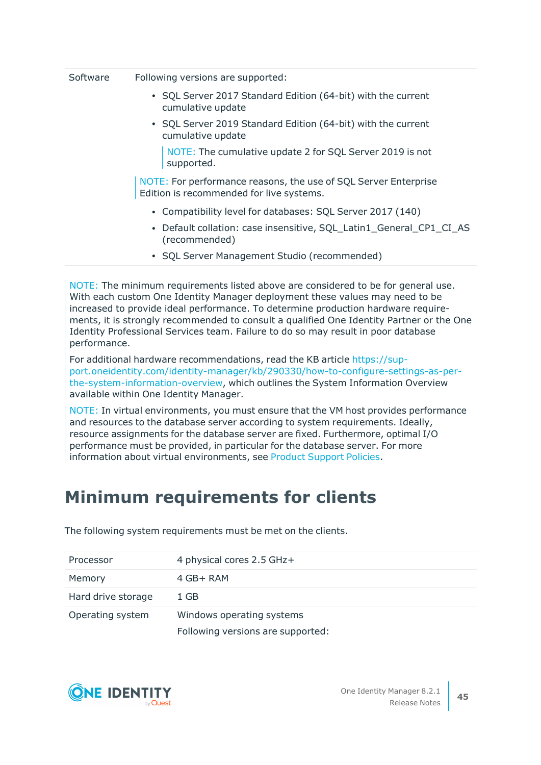| Software |  | Following versions are supported: |
|----------|--|-----------------------------------|
|----------|--|-----------------------------------|

- SQL Server 2017 Standard Edition (64-bit) with the current cumulative update
- SQL Server 2019 Standard Edition (64-bit) with the current cumulative update

NOTE: The cumulative update 2 for SQL Server 2019 is not supported.

NOTE: For performance reasons, the use of SQL Server Enterprise Edition is recommended for live systems.

- Compatibility level for databases: SQL Server 2017 (140)
- Default collation: case insensitive, SQL\_Latin1\_General\_CP1\_CI\_AS (recommended)
- SQL Server Management Studio (recommended)

NOTE: The minimum requirements listed above are considered to be for general use. With each custom One Identity Manager deployment these values may need to be increased to provide ideal performance. To determine production hardware requirements, it is strongly recommended to consult a qualified One Identity Partner or the One Identity Professional Services team. Failure to do so may result in poor database performance.

For additional hardware recommendations, read the KB article [https://sup](https://support.oneidentity.com/identity-manager/kb/290330/how-to-configure-settings-as-per-the-system-information-overview)[port.oneidentity.com/identity-manager/kb/290330/how-to-configure-settings-as-per](https://support.oneidentity.com/identity-manager/kb/290330/how-to-configure-settings-as-per-the-system-information-overview)[the-system-information-overview](https://support.oneidentity.com/identity-manager/kb/290330/how-to-configure-settings-as-per-the-system-information-overview), which outlines the System Information Overview available within One Identity Manager.

NOTE: In virtual environments, you must ensure that the VM host provides performance and resources to the database server according to system requirements. Ideally, resource assignments for the database server are fixed. Furthermore, optimal I/O performance must be provided, in particular for the database server. For more information about virtual environments, see Product [Support](https://support.oneidentity.com/de-de/essentials/support-guide#tab3) Policies.

## **Minimum requirements for clients**

| Processor          | 4 physical cores 2.5 GHz+         |
|--------------------|-----------------------------------|
| Memory             | $4$ GB+ RAM                       |
| Hard drive storage | 1 GB                              |
| Operating system   | Windows operating systems         |
|                    | Following versions are supported: |

The following system requirements must be met on the clients.

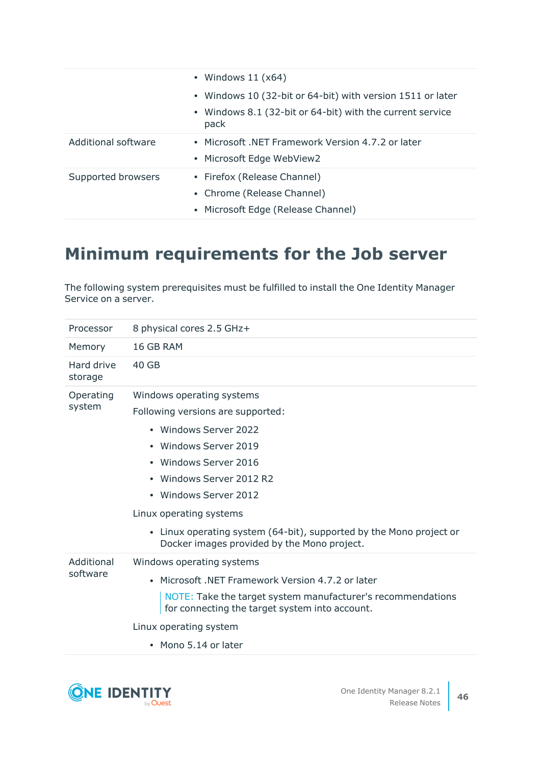|                     | • Windows $11 (x64)$                                              |
|---------------------|-------------------------------------------------------------------|
|                     | • Windows 10 (32-bit or 64-bit) with version 1511 or later        |
|                     | • Windows 8.1 (32-bit or 64-bit) with the current service<br>pack |
| Additional software | • Microsoft .NET Framework Version 4.7.2 or later                 |
|                     | • Microsoft Edge WebView2                                         |
| Supported browsers  | • Firefox (Release Channel)                                       |
|                     | • Chrome (Release Channel)                                        |
|                     | • Microsoft Edge (Release Channel)                                |

## **Minimum requirements for the Job server**

The following system prerequisites must be fulfilled to install the One Identity Manager Service on a server.

| Processor              | 8 physical cores 2.5 GHz+                                                                                                                                                                                                                                                                                                                     |
|------------------------|-----------------------------------------------------------------------------------------------------------------------------------------------------------------------------------------------------------------------------------------------------------------------------------------------------------------------------------------------|
| Memory                 | 16 GB RAM                                                                                                                                                                                                                                                                                                                                     |
| Hard drive<br>storage  | 40 GB                                                                                                                                                                                                                                                                                                                                         |
| Operating<br>system    | Windows operating systems<br>Following versions are supported:<br>• Windows Server 2022<br>• Windows Server 2019<br>Windows Server 2016<br>• Windows Server 2012 R2<br>• Windows Server 2012<br>Linux operating systems<br>• Linux operating system (64-bit), supported by the Mono project or<br>Docker images provided by the Mono project. |
| Additional<br>software | Windows operating systems<br>• Microsoft .NET Framework Version 4.7.2 or later<br>NOTE: Take the target system manufacturer's recommendations<br>for connecting the target system into account.<br>Linux operating system<br>$\bullet$ Mono 5.14 or later                                                                                     |

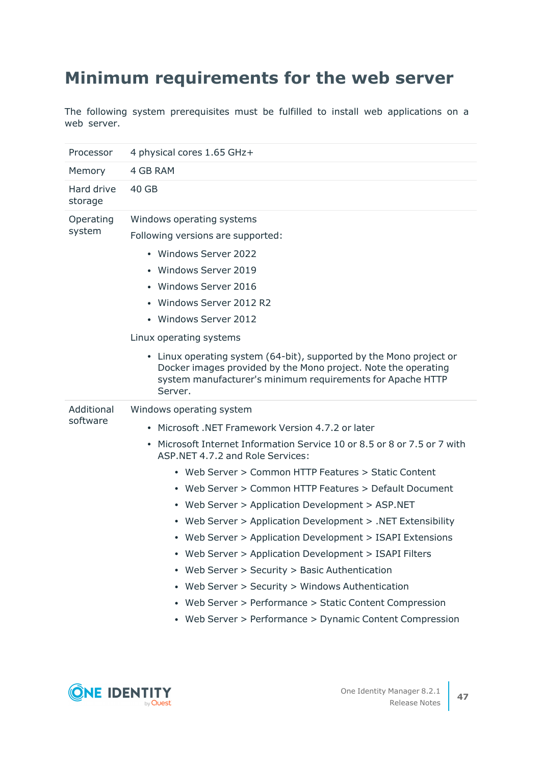# **Minimum requirements for the web server**

The following system prerequisites must be fulfilled to install web applications on a web server.

| Processor              | 4 physical cores 1.65 GHz+                                                                                                                                                                                                                                                                                                                                                                                                                                                                                                                                                                                                                                                                                                                                                              |
|------------------------|-----------------------------------------------------------------------------------------------------------------------------------------------------------------------------------------------------------------------------------------------------------------------------------------------------------------------------------------------------------------------------------------------------------------------------------------------------------------------------------------------------------------------------------------------------------------------------------------------------------------------------------------------------------------------------------------------------------------------------------------------------------------------------------------|
| Memory                 | 4 GB RAM                                                                                                                                                                                                                                                                                                                                                                                                                                                                                                                                                                                                                                                                                                                                                                                |
| Hard drive<br>storage  | 40 GB                                                                                                                                                                                                                                                                                                                                                                                                                                                                                                                                                                                                                                                                                                                                                                                   |
| Operating<br>system    | Windows operating systems<br>Following versions are supported:<br>• Windows Server 2022<br>• Windows Server 2019<br>• Windows Server 2016<br>• Windows Server 2012 R2<br>• Windows Server 2012<br>Linux operating systems<br>• Linux operating system (64-bit), supported by the Mono project or<br>Docker images provided by the Mono project. Note the operating<br>system manufacturer's minimum requirements for Apache HTTP<br>Server.                                                                                                                                                                                                                                                                                                                                             |
| Additional<br>software | Windows operating system<br>• Microsoft .NET Framework Version 4.7.2 or later<br>• Microsoft Internet Information Service 10 or 8.5 or 8 or 7.5 or 7 with<br>ASP. NET 4.7.2 and Role Services:<br>• Web Server > Common HTTP Features > Static Content<br>• Web Server > Common HTTP Features > Default Document<br>• Web Server > Application Development > ASP.NET<br>• Web Server > Application Development > .NET Extensibility<br>• Web Server > Application Development > ISAPI Extensions<br>• Web Server > Application Development > ISAPI Filters<br>• Web Server > Security > Basic Authentication<br>• Web Server > Security > Windows Authentication<br>• Web Server > Performance > Static Content Compression<br>• Web Server > Performance > Dynamic Content Compression |

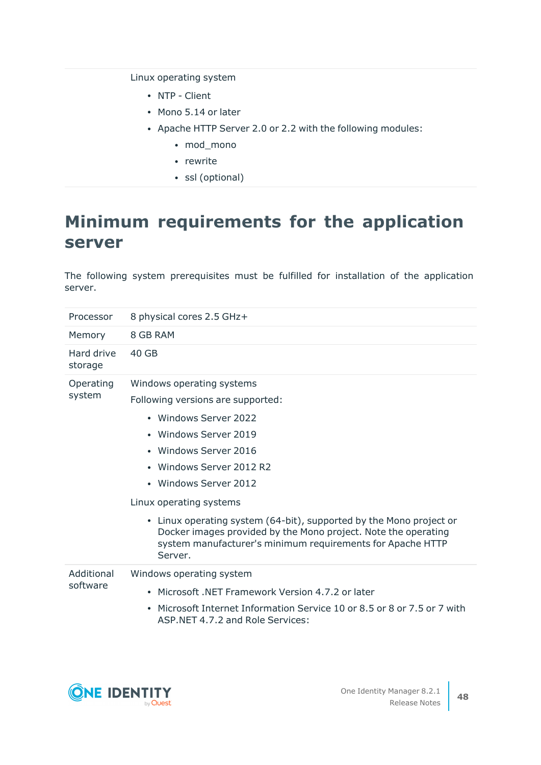Linux operating system

- NTP Client
- Mono 5.14 or later
- Apache HTTP Server 2.0 or 2.2 with the following modules:
	- mod\_mono
	- rewrite
	- ssl (optional)

## **Minimum requirements for the application server**

The following system prerequisites must be fulfilled for installation of the application server.

| Processor              | 8 physical cores 2.5 GHz+                                                                                                                                                                                                                                                                                                                                                                                                                   |
|------------------------|---------------------------------------------------------------------------------------------------------------------------------------------------------------------------------------------------------------------------------------------------------------------------------------------------------------------------------------------------------------------------------------------------------------------------------------------|
| Memory                 | 8 GB RAM                                                                                                                                                                                                                                                                                                                                                                                                                                    |
| Hard drive<br>storage  | 40 GB                                                                                                                                                                                                                                                                                                                                                                                                                                       |
| Operating<br>system    | Windows operating systems<br>Following versions are supported:<br>• Windows Server 2022<br>• Windows Server 2019<br>• Windows Server 2016<br>• Windows Server 2012 R2<br>• Windows Server 2012<br>Linux operating systems<br>• Linux operating system (64-bit), supported by the Mono project or<br>Docker images provided by the Mono project. Note the operating<br>system manufacturer's minimum requirements for Apache HTTP<br>Server. |
| Additional<br>software | Windows operating system<br>Microsoft, NET Framework Version 4.7.2 or later<br>٠<br>Microsoft Internet Information Service 10 or 8.5 or 8 or 7.5 or 7 with<br>$\bullet$<br>ASP.NET 4.7.2 and Role Services:                                                                                                                                                                                                                                 |



**48**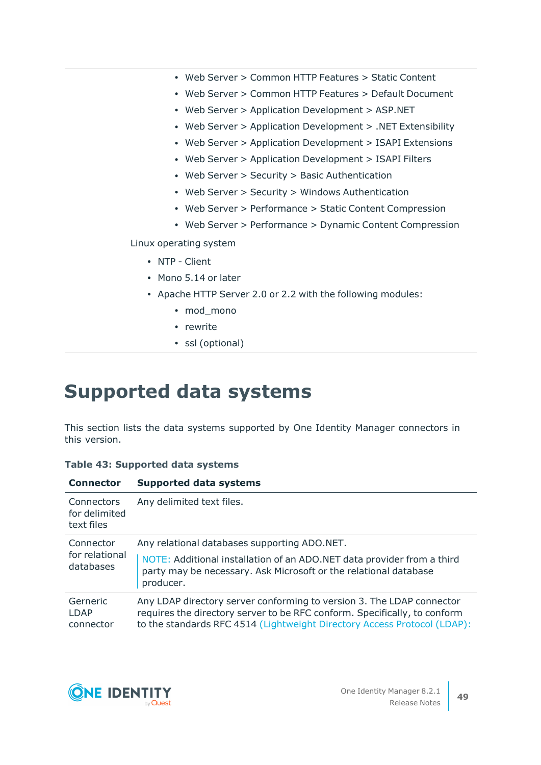- Web Server > Common HTTP Features > Static Content
- Web Server > Common HTTP Features > Default Document
- Web Server > Application Development > ASP.NET
- Web Server > Application Development > .NET Extensibility
- Web Server > Application Development > ISAPI Extensions
- Web Server > Application Development > ISAPI Filters
- Web Server > Security > Basic Authentication
- Web Server > Security > Windows Authentication
- Web Server > Performance > Static Content Compression
- Web Server > Performance > Dynamic Content Compression

Linux operating system

- NTP Client
- Mono 5.14 or later
- Apache HTTP Server 2.0 or 2.2 with the following modules:
	- mod mono
	- rewrite
	- ssl (optional)

# **Supported data systems**

This section lists the data systems supported by One Identity Manager connectors in this version.

|  |  | Table 43: Supported data systems |  |  |
|--|--|----------------------------------|--|--|
|--|--|----------------------------------|--|--|

| <b>Connector</b>                          | <b>Supported data systems</b>                                                                                                                                                                                                  |
|-------------------------------------------|--------------------------------------------------------------------------------------------------------------------------------------------------------------------------------------------------------------------------------|
| Connectors<br>for delimited<br>text files | Any delimited text files.                                                                                                                                                                                                      |
| Connector<br>for relational<br>databases  | Any relational databases supporting ADO.NET.<br>NOTE: Additional installation of an ADO.NET data provider from a third<br>party may be necessary. Ask Microsoft or the relational database<br>producer.                        |
| Gerneric<br><b>LDAP</b><br>connector      | Any LDAP directory server conforming to version 3. The LDAP connector<br>requires the directory server to be RFC conform. Specifically, to conform<br>to the standards RFC 4514 (Lightweight Directory Access Protocol (LDAP): |



**49**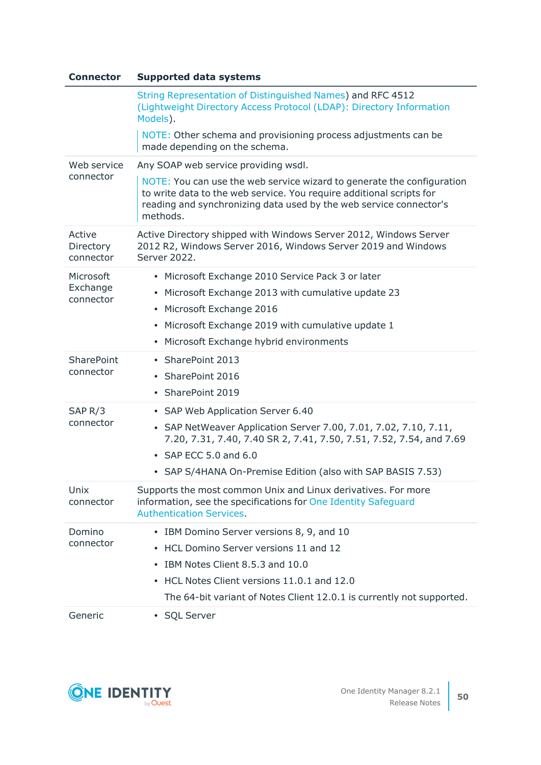| <b>Connector</b>                   | <b>Supported data systems</b>                                                                                                                                                                                                                                        |
|------------------------------------|----------------------------------------------------------------------------------------------------------------------------------------------------------------------------------------------------------------------------------------------------------------------|
|                                    | String Representation of Distinguished Names) and RFC 4512<br>(Lightweight Directory Access Protocol (LDAP): Directory Information<br>Models).                                                                                                                       |
|                                    | NOTE: Other schema and provisioning process adjustments can be<br>made depending on the schema.                                                                                                                                                                      |
| Web service<br>connector           | Any SOAP web service providing wsdl.                                                                                                                                                                                                                                 |
|                                    | NOTE: You can use the web service wizard to generate the configuration<br>to write data to the web service. You require additional scripts for<br>reading and synchronizing data used by the web service connector's<br>methods.                                     |
| Active<br>Directory<br>connector   | Active Directory shipped with Windows Server 2012, Windows Server<br>2012 R2, Windows Server 2016, Windows Server 2019 and Windows<br>Server 2022.                                                                                                                   |
| Microsoft<br>Exchange<br>connector | Microsoft Exchange 2010 Service Pack 3 or later<br>$\bullet$<br>Microsoft Exchange 2013 with cumulative update 23<br>٠<br>Microsoft Exchange 2016<br>٠<br>Microsoft Exchange 2019 with cumulative update 1<br>٠<br>Microsoft Exchange hybrid environments<br>٠       |
| <b>SharePoint</b><br>connector     | SharePoint 2013<br>٠<br>SharePoint 2016<br>٠<br>• SharePoint 2019                                                                                                                                                                                                    |
| SAP <sub>R</sub> /3<br>connector   | • SAP Web Application Server 6.40<br>• SAP NetWeaver Application Server 7.00, 7.01, 7.02, 7.10, 7.11,<br>7.20, 7.31, 7.40, 7.40 SR 2, 7.41, 7.50, 7.51, 7.52, 7.54, and 7.69<br>• SAP ECC 5.0 and 6.0<br>• SAP S/4HANA On-Premise Edition (also with SAP BASIS 7.53) |
| Unix<br>connector                  | Supports the most common Unix and Linux derivatives. For more<br>information, see the specifications for One Identity Safeguard<br><b>Authentication Services.</b>                                                                                                   |
| Domino<br>connector                | IBM Domino Server versions 8, 9, and 10<br>$\bullet$<br>HCL Domino Server versions 11 and 12<br>٠<br>IBM Notes Client 8.5.3 and 10.0<br>٠<br>HCL Notes Client versions 11.0.1 and 12.0<br>٠<br>The 64-bit variant of Notes Client 12.0.1 is currently not supported. |
| Generic                            | • SQL Server                                                                                                                                                                                                                                                         |

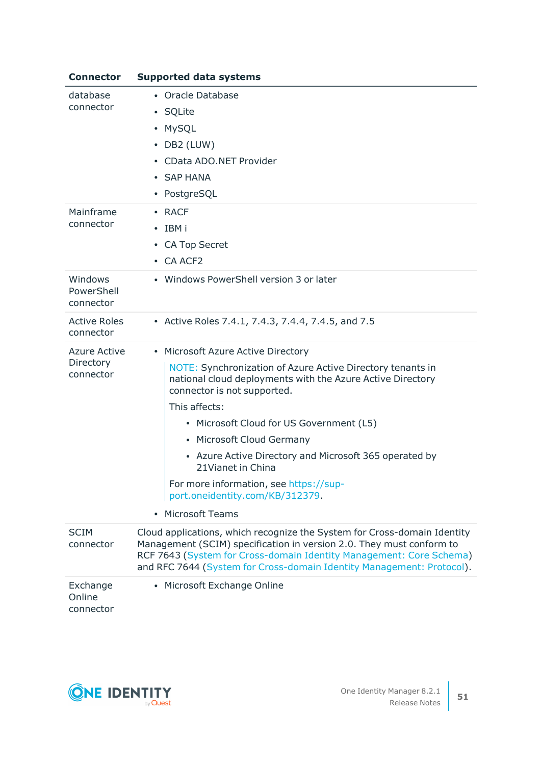| <b>Connector</b>                   | <b>Supported data systems</b>                                                                                                                                                                                                                                                                    |  |
|------------------------------------|--------------------------------------------------------------------------------------------------------------------------------------------------------------------------------------------------------------------------------------------------------------------------------------------------|--|
| database                           | • Oracle Database                                                                                                                                                                                                                                                                                |  |
| connector                          | • SQLite                                                                                                                                                                                                                                                                                         |  |
|                                    | <b>MySQL</b><br>٠                                                                                                                                                                                                                                                                                |  |
|                                    | DB2 (LUW)<br>$\bullet$                                                                                                                                                                                                                                                                           |  |
|                                    | CData ADO.NET Provider                                                                                                                                                                                                                                                                           |  |
|                                    | • SAP HANA                                                                                                                                                                                                                                                                                       |  |
|                                    | PostgreSQL<br>$\bullet$                                                                                                                                                                                                                                                                          |  |
| Mainframe                          | • RACF                                                                                                                                                                                                                                                                                           |  |
| connector                          | $\cdot$ IBM i                                                                                                                                                                                                                                                                                    |  |
|                                    | • CA Top Secret                                                                                                                                                                                                                                                                                  |  |
|                                    | • CA ACF2                                                                                                                                                                                                                                                                                        |  |
| Windows<br>PowerShell<br>connector | • Windows PowerShell version 3 or later                                                                                                                                                                                                                                                          |  |
| <b>Active Roles</b><br>connector   | • Active Roles 7.4.1, 7.4.3, 7.4.4, 7.4.5, and 7.5                                                                                                                                                                                                                                               |  |
| <b>Azure Active</b>                | • Microsoft Azure Active Directory                                                                                                                                                                                                                                                               |  |
| Directory<br>connector             | NOTE: Synchronization of Azure Active Directory tenants in<br>national cloud deployments with the Azure Active Directory<br>connector is not supported.                                                                                                                                          |  |
|                                    | This affects:                                                                                                                                                                                                                                                                                    |  |
|                                    | • Microsoft Cloud for US Government (L5)                                                                                                                                                                                                                                                         |  |
|                                    | • Microsoft Cloud Germany                                                                                                                                                                                                                                                                        |  |
|                                    | • Azure Active Directory and Microsoft 365 operated by<br>21 Vianet in China                                                                                                                                                                                                                     |  |
|                                    | For more information, see https://sup-<br>port.oneidentity.com/KB/312379.                                                                                                                                                                                                                        |  |
|                                    | <b>Microsoft Teams</b><br>$\bullet$                                                                                                                                                                                                                                                              |  |
| <b>SCIM</b><br>connector           | Cloud applications, which recognize the System for Cross-domain Identity<br>Management (SCIM) specification in version 2.0. They must conform to<br>RCF 7643 (System for Cross-domain Identity Management: Core Schema)<br>and RFC 7644 (System for Cross-domain Identity Management: Protocol). |  |
| Exchange<br>Online<br>connector    | Microsoft Exchange Online                                                                                                                                                                                                                                                                        |  |

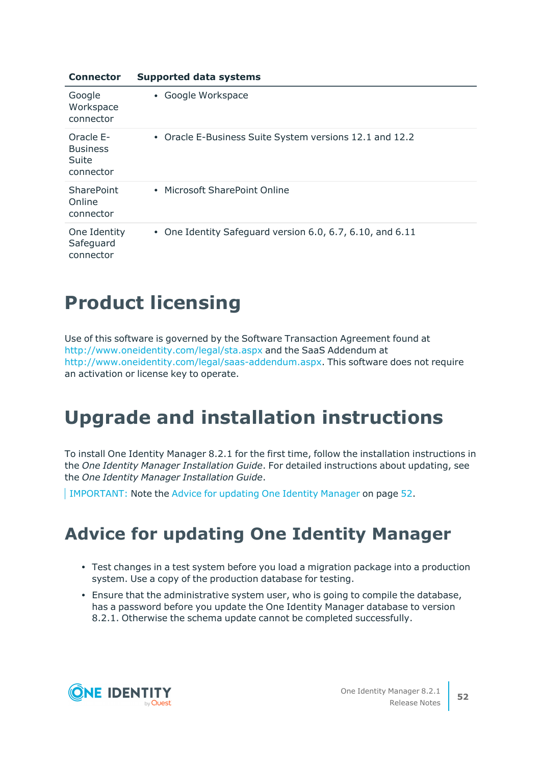| <b>Connector</b>                                   | <b>Supported data systems</b>                             |
|----------------------------------------------------|-----------------------------------------------------------|
| Google<br>Workspace<br>connector                   | • Google Workspace                                        |
| Oracle E-<br><b>Business</b><br>Suite<br>connector | • Oracle E-Business Suite System versions 12.1 and 12.2   |
| <b>SharePoint</b><br>Online<br>connector           | • Microsoft SharePoint Online                             |
| One Identity<br>Safeguard<br>connector             | • One Identity Safeguard version 6.0, 6.7, 6.10, and 6.11 |

# **Product licensing**

Use of this software is governed by the Software Transaction Agreement found at <http://www.oneidentity.com/legal/sta.aspx> and the SaaS Addendum at <http://www.oneidentity.com/legal/saas-addendum.aspx>. This software does not require an activation or license key to operate.

# **Upgrade and installation instructions**

To install One Identity Manager 8.2.1 for the first time, follow the installation instructions in the *One Identity Manager Installation Guide*. For detailed instructions about updating, see the *One Identity Manager Installation Guide*.

<span id="page-51-0"></span>IMPORTANT: Note the Advice for [updating](#page-51-0) One Identity Manager on page 52.

## **Advice for updating One Identity Manager**

- Test changes in a test system before you load a migration package into a production system. Use a copy of the production database for testing.
- Ensure that the administrative system user, who is going to compile the database, has a password before you update the One Identity Manager database to version 8.2.1. Otherwise the schema update cannot be completed successfully.

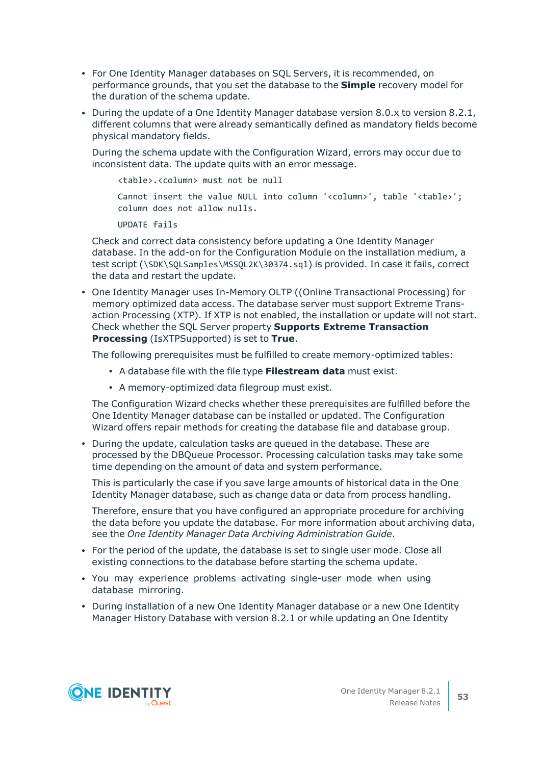- For One Identity Manager databases on SQL Servers, it is recommended, on performance grounds, that you set the database to the **Simple** recovery model for the duration of the schema update.
- During the update of a One Identity Manager database version 8.0.x to version 8.2.1, different columns that were already semantically defined as mandatory fields become physical mandatory fields.

During the schema update with the Configuration Wizard, errors may occur due to inconsistent data. The update quits with an error message.

<table>.<column> must not be null

Cannot insert the value NULL into column '<column>', table '<table>'; column does not allow nulls.

UPDATE fails

Check and correct data consistency before updating a One Identity Manager database. In the add-on for the Configuration Module on the installation medium, a test script (\SDK\SQLSamples\MSSQL2K\30374.sql) is provided. In case it fails, correct the data and restart the update.

• One Identity Manager uses In-Memory OLTP ((Online Transactional Processing) for memory optimized data access. The database server must support Extreme Transaction Processing (XTP). If XTP is not enabled, the installation or update will not start. Check whether the SQL Server property **Supports Extreme Transaction Processing** (IsXTPSupported) is set to **True**.

The following prerequisites must be fulfilled to create memory-optimized tables:

- A database file with the file type **Filestream data** must exist.
- A memory-optimized data filegroup must exist.

The Configuration Wizard checks whether these prerequisites are fulfilled before the One Identity Manager database can be installed or updated. The Configuration Wizard offers repair methods for creating the database file and database group.

• During the update, calculation tasks are queued in the database. These are processed by the DBQueue Processor. Processing calculation tasks may take some time depending on the amount of data and system performance.

This is particularly the case if you save large amounts of historical data in the One Identity Manager database, such as change data or data from process handling.

Therefore, ensure that you have configured an appropriate procedure for archiving the data before you update the database. For more information about archiving data, see the *One Identity Manager Data Archiving Administration Guide*.

- <sup>l</sup> For the period of the update, the database is set to single user mode. Close all existing connections to the database before starting the schema update.
- You may experience problems activating single-user mode when using database mirroring.
- During installation of a new One Identity Manager database or a new One Identity Manager History Database with version 8.2.1 or while updating an One Identity

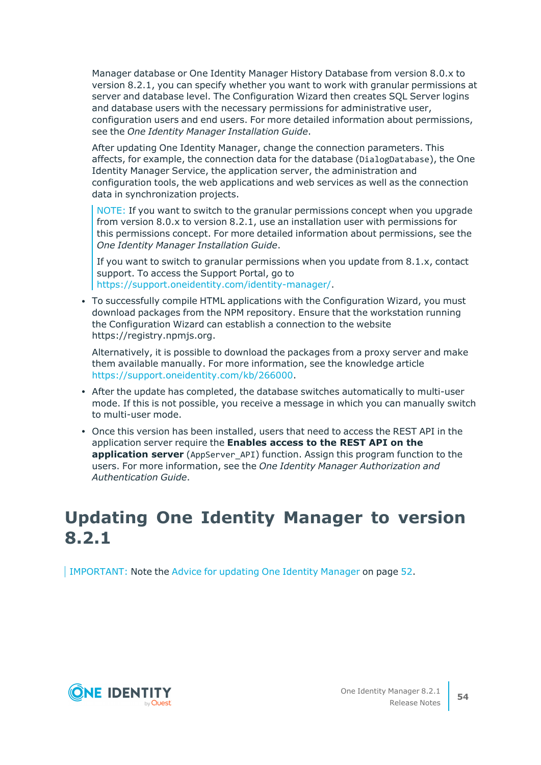Manager database or One Identity Manager History Database from version 8.0.x to version 8.2.1, you can specify whether you want to work with granular permissions at server and database level. The Configuration Wizard then creates SQL Server logins and database users with the necessary permissions for administrative user, configuration users and end users. For more detailed information about permissions, see the *One Identity Manager Installation Guide*.

After updating One Identity Manager, change the connection parameters. This affects, for example, the connection data for the database (DialogDatabase), the One Identity Manager Service, the application server, the administration and configuration tools, the web applications and web services as well as the connection data in synchronization projects.

NOTE: If you want to switch to the granular permissions concept when you upgrade from version 8.0.x to version 8.2.1, use an installation user with permissions for this permissions concept. For more detailed information about permissions, see the *One Identity Manager Installation Guide*.

If you want to switch to granular permissions when you update from 8.1.x, contact support. To access the Support Portal, go to <https://support.oneidentity.com/identity-manager/>.

• To successfully compile HTML applications with the Configuration Wizard, you must download packages from the NPM repository. Ensure that the workstation running the Configuration Wizard can establish a connection to the website https://registry.npmjs.org.

Alternatively, it is possible to download the packages from a proxy server and make them available manually. For more information, see the knowledge article [https://support.oneidentity.com/kb/266000.](https://support.oneidentity.com/kb/266000)

- After the update has completed, the database switches automatically to multi-user mode. If this is not possible, you receive a message in which you can manually switch to multi-user mode.
- Once this version has been installed, users that need to access the REST API in the application server require the **Enables access to the REST API on the application server** (AppServer\_API) function. Assign this program function to the users. For more information, see the *One Identity Manager Authorization and Authentication Guide*.

## **Updating One Identity Manager to version 8.2.1**

IMPORTANT: Note the Advice for [updating](#page-51-0) One Identity Manager on page 52.

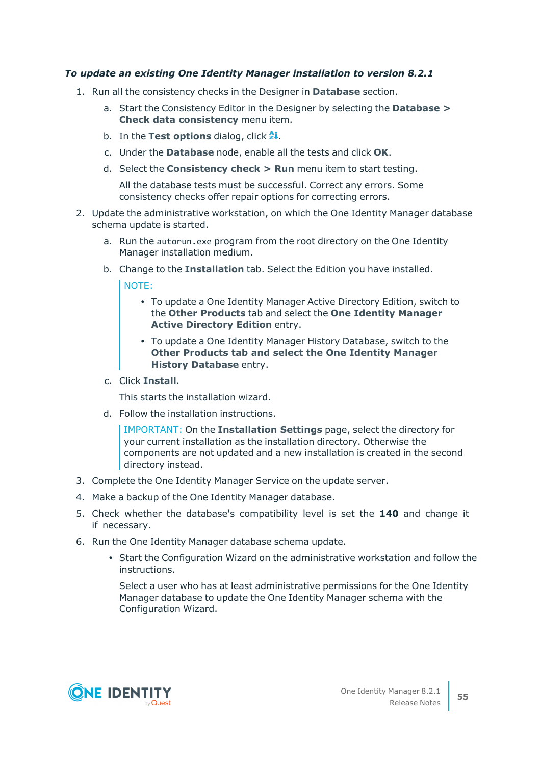### *To update an existing One Identity Manager installation to version 8.2.1*

- 1. Run all the consistency checks in the Designer in **Database** section.
	- a. Start the Consistency Editor in the Designer by selecting the **Database > Check data consistency** menu item.
	- b. In the **Test options** dialog, click  $\frac{A}{24}$ .
	- c. Under the **Database** node, enable all the tests and click **OK**.
	- d. Select the **Consistency check > Run** menu item to start testing.

All the database tests must be successful. Correct any errors. Some consistency checks offer repair options for correcting errors.

- 2. Update the administrative workstation, on which the One Identity Manager database schema update is started.
	- a. Run the autorun.exe program from the root directory on the One Identity Manager installation medium.
	- b. Change to the **Installation** tab. Select the Edition you have installed.

NOTE:

- To update a One Identity Manager Active Directory Edition, switch to the **Other Products** tab and select the **One Identity Manager Active Directory Edition** entry.
- To update a One Identity Manager History Database, switch to the **Other Products tab and select the One Identity Manager History Database** entry.
- c. Click **Install**.

This starts the installation wizard.

d. Follow the installation instructions.

IMPORTANT: On the **Installation Settings** page, select the directory for your current installation as the installation directory. Otherwise the components are not updated and a new installation is created in the second directory instead.

- 3. Complete the One Identity Manager Service on the update server.
- 4. Make a backup of the One Identity Manager database.
- 5. Check whether the database's compatibility level is set the **140** and change it if necessary.
- 6. Run the One Identity Manager database schema update.
	- Start the Configuration Wizard on the administrative workstation and follow the instructions.

Select a user who has at least administrative permissions for the One Identity Manager database to update the One Identity Manager schema with the Configuration Wizard.

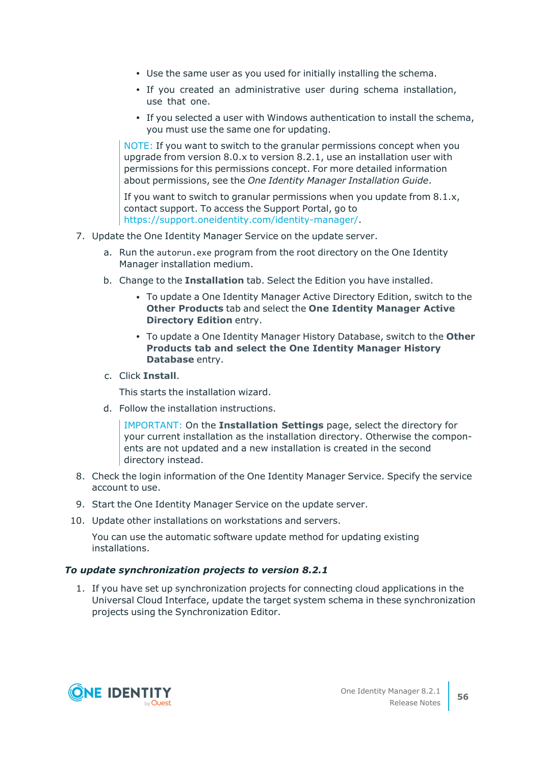- Use the same user as you used for initially installing the schema.
- If you created an administrative user during schema installation, use that one.
- If you selected a user with Windows authentication to install the schema, you must use the same one for updating.

NOTE: If you want to switch to the granular permissions concept when you upgrade from version 8.0.x to version 8.2.1, use an installation user with permissions for this permissions concept. For more detailed information about permissions, see the *One Identity Manager Installation Guide*.

If you want to switch to granular permissions when you update from 8.1.x, contact support. To access the Support Portal, go to <https://support.oneidentity.com/identity-manager/>.

- 7. Update the One Identity Manager Service on the update server.
	- a. Run the autorun.exe program from the root directory on the One Identity Manager installation medium.
	- b. Change to the **Installation** tab. Select the Edition you have installed.
		- To update a One Identity Manager Active Directory Edition, switch to the **Other Products** tab and select the **One Identity Manager Active Directory Edition** entry.
		- <sup>l</sup> To update a One Identity Manager History Database, switch to the **Other Products tab and select the One Identity Manager History Database** entry.
	- c. Click **Install**.

This starts the installation wizard.

d. Follow the installation instructions.

IMPORTANT: On the **Installation Settings** page, select the directory for your current installation as the installation directory. Otherwise the components are not updated and a new installation is created in the second directory instead.

- 8. Check the login information of the One Identity Manager Service. Specify the service account to use.
- 9. Start the One Identity Manager Service on the update server.
- 10. Update other installations on workstations and servers.

You can use the automatic software update method for updating existing installations.

### *To update synchronization projects to version 8.2.1*

1. If you have set up synchronization projects for connecting cloud applications in the Universal Cloud Interface, update the target system schema in these synchronization projects using the Synchronization Editor.

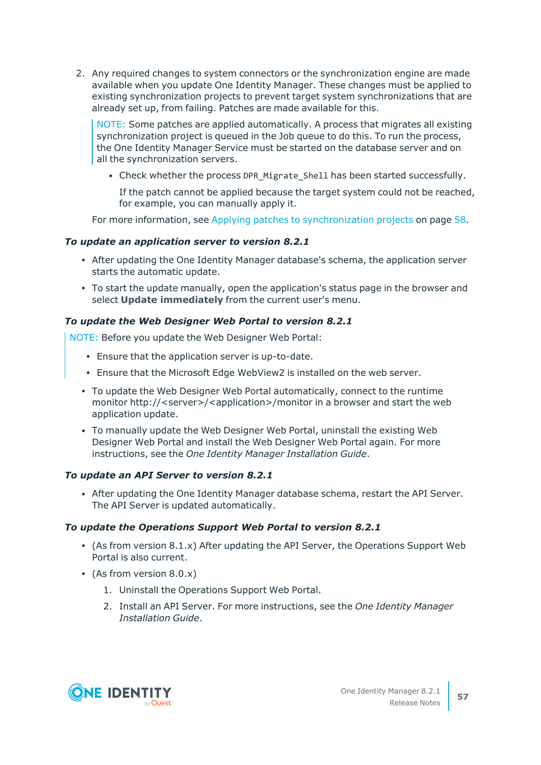2. Any required changes to system connectors or the synchronization engine are made available when you update One Identity Manager. These changes must be applied to existing synchronization projects to prevent target system synchronizations that are already set up, from failing. Patches are made available for this.

NOTE: Some patches are applied automatically. A process that migrates all existing synchronization project is queued in the Job queue to do this. To run the process, the One Identity Manager Service must be started on the database server and on all the synchronization servers.

• Check whether the process DPR Migrate Shell has been started successfully.

If the patch cannot be applied because the target system could not be reached, for example, you can manually apply it.

For more information, see Applying patches to [synchronization](#page-57-0) projects on page 58.

## *To update an application server to version 8.2.1*

- After updating the One Identity Manager database's schema, the application server starts the automatic update.
- To start the update manually, open the application's status page in the browser and select **Update immediately** from the current user's menu.

## *To update the Web Designer Web Portal to version 8.2.1*

NOTE: Before you update the Web Designer Web Portal:

- Ensure that the application server is up-to-date.
- Ensure that the Microsoft Edge WebView2 is installed on the web server.
- To update the Web Designer Web Portal automatically, connect to the runtime monitor http://<server>/<application>/monitor in a browser and start the web application update.
- To manually update the Web Designer Web Portal, uninstall the existing Web Designer Web Portal and install the Web Designer Web Portal again. For more instructions, see the *One Identity Manager Installation Guide*.

### *To update an API Server to version 8.2.1*

• After updating the One Identity Manager database schema, restart the API Server. The API Server is updated automatically.

### *To update the Operations Support Web Portal to version 8.2.1*

- (As from version  $8.1.x$ ) After updating the API Server, the Operations Support Web Portal is also current.
- (As from version  $8.0.x$ )
	- 1. Uninstall the Operations Support Web Portal.
	- 2. Install an API Server. For more instructions, see the *One Identity Manager Installation Guide*.

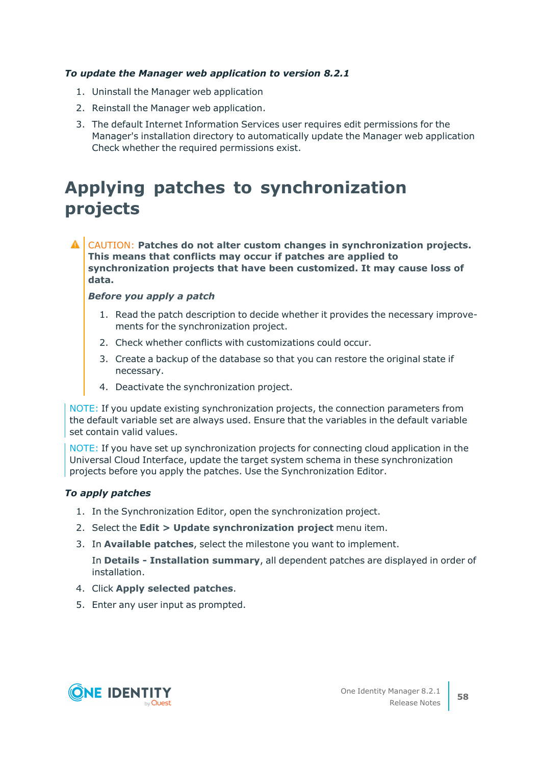## *To update the Manager web application to version 8.2.1*

- 1. Uninstall the Manager web application
- 2. Reinstall the Manager web application.
- 3. The default Internet Information Services user requires edit permissions for the Manager's installation directory to automatically update the Manager web application Check whether the required permissions exist.

## <span id="page-57-0"></span>**Applying patches to synchronization projects**

CAUTION: **Patches do not alter custom changes in synchronization projects. This means that conflicts may occur if patches are applied to synchronization projects that have been customized. It may cause loss of data.**

### *Before you apply a patch*

- 1. Read the patch description to decide whether it provides the necessary improvements for the synchronization project.
- 2. Check whether conflicts with customizations could occur.
- 3. Create a backup of the database so that you can restore the original state if necessary.
- 4. Deactivate the synchronization project.

NOTE: If you update existing synchronization projects, the connection parameters from the default variable set are always used. Ensure that the variables in the default variable set contain valid values.

NOTE: If you have set up synchronization projects for connecting cloud application in the Universal Cloud Interface, update the target system schema in these synchronization projects before you apply the patches. Use the Synchronization Editor.

### *To apply patches*

- 1. In the Synchronization Editor, open the synchronization project.
- 2. Select the **Edit > Update synchronization project** menu item.
- 3. In **Available patches**, select the milestone you want to implement.

In **Details - Installation summary**, all dependent patches are displayed in order of installation.

- 4. Click **Apply selected patches**.
- 5. Enter any user input as prompted.

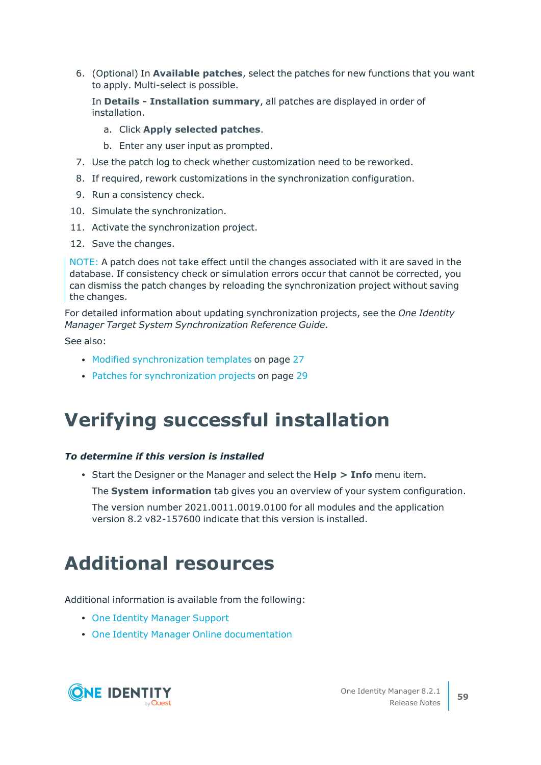6. (Optional) In **Available patches**, select the patches for new functions that you want to apply. Multi-select is possible.

In **Details - Installation summary**, all patches are displayed in order of installation.

- a. Click **Apply selected patches**.
- b. Enter any user input as prompted.
- 7. Use the patch log to check whether customization need to be reworked.
- 8. If required, rework customizations in the synchronization configuration.
- 9. Run a consistency check.
- 10. Simulate the synchronization.
- 11. Activate the synchronization project.
- 12. Save the changes.

NOTE: A patch does not take effect until the changes associated with it are saved in the database. If consistency check or simulation errors occur that cannot be corrected, you can dismiss the patch changes by reloading the synchronization project without saving the changes.

For detailed information about updating synchronization projects, see the *One Identity Manager Target System Synchronization Reference Guide*.

See also:

- Modified [synchronization](#page-26-0) templates on page 27
- Patches for [synchronization](#page-28-0) projects on page 29

## **Verifying successful installation**

## *To determine if this version is installed*

<sup>l</sup> Start the Designer or the Manager and select the **Help > Info** menu item.

The **System information** tab gives you an overview of your system configuration.

The version number 2021.0011.0019.0100 for all modules and the application version 8.2 v82-157600 indicate that this version is installed.

# **Additional resources**

Additional information is available from the following:

- One Identity [Manager](https://support.oneidentity.com/identity-manager/) Support
- One Identity Manager Online [documentation](https://support.oneidentity.com/identity-manager/technical-documents/)

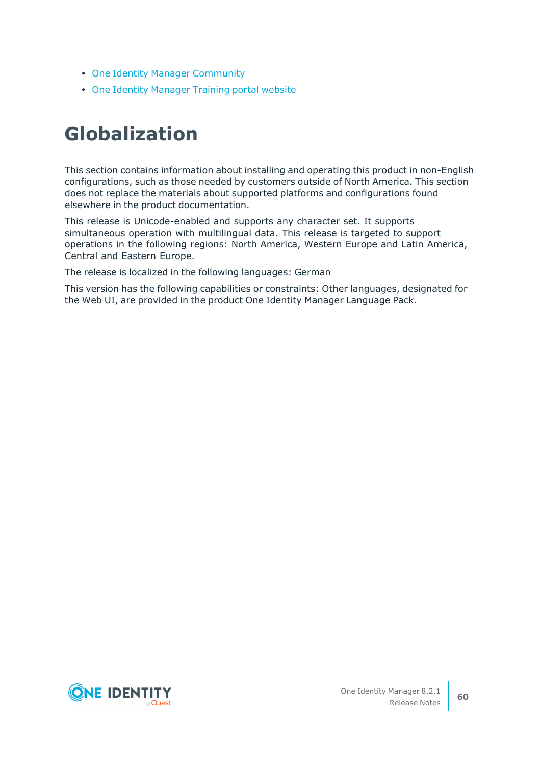- One Identity Manager [Community](https://www.oneidentity.com/community/identity-manager)
- One Identity [Manager](https://support.oneidentity.com/identity-manager/training) Training portal website

# **Globalization**

This section contains information about installing and operating this product in non-English configurations, such as those needed by customers outside of North America. This section does not replace the materials about supported platforms and configurations found elsewhere in the product documentation.

This release is Unicode-enabled and supports any character set. It supports simultaneous operation with multilingual data. This release is targeted to support operations in the following regions: North America, Western Europe and Latin America, Central and Eastern Europe.

The release is localized in the following languages: German

This version has the following capabilities or constraints: Other languages, designated for the Web UI, are provided in the product One Identity Manager Language Pack.

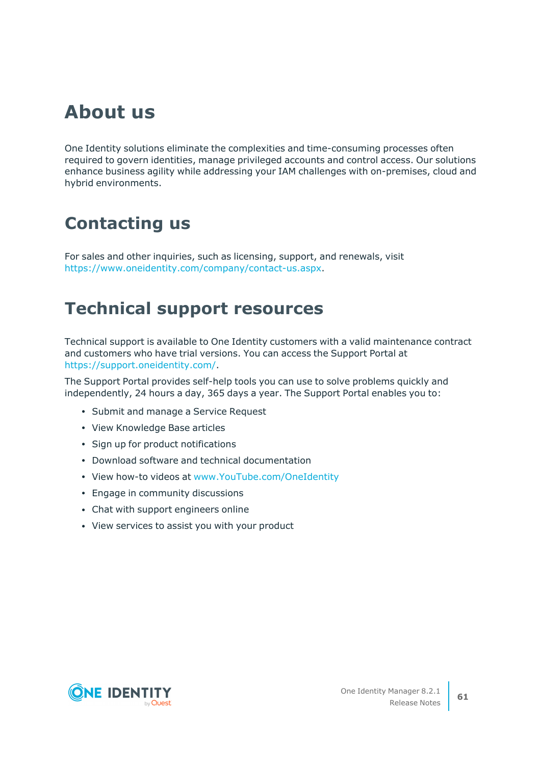# **About us**

One Identity solutions eliminate the complexities and time-consuming processes often required to govern identities, manage privileged accounts and control access. Our solutions enhance business agility while addressing your IAM challenges with on-premises, cloud and hybrid environments.

## **Contacting us**

For sales and other inquiries, such as licensing, support, and renewals, visit [https://www.oneidentity.com/company/contact-us.aspx.](https://www.oneidentity.com/company/contact-us.aspx)

## **Technical support resources**

Technical support is available to One Identity customers with a valid maintenance contract and customers who have trial versions. You can access the Support Portal at [https://support.oneidentity.com/.](https://support.oneidentity.com/)

The Support Portal provides self-help tools you can use to solve problems quickly and independently, 24 hours a day, 365 days a year. The Support Portal enables you to:

- Submit and manage a Service Request
- View Knowledge Base articles
- Sign up for product notifications
- Download software and technical documentation
- View how-to videos at [www.YouTube.com/OneIdentity](http://www.youtube.com/OneIdentity)
- Engage in community discussions
- Chat with support engineers online
- View services to assist you with your product